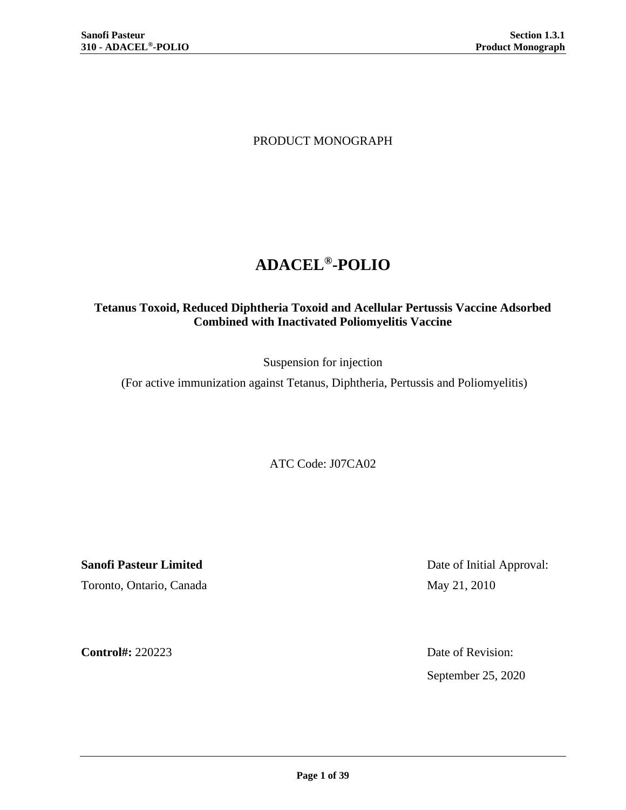PRODUCT MONOGRAPH

# **ADACEL® -POLIO**

# **Tetanus Toxoid, Reduced Diphtheria Toxoid and Acellular Pertussis Vaccine Adsorbed Combined with Inactivated Poliomyelitis Vaccine**

Suspension for injection

(For active immunization against Tetanus, Diphtheria, Pertussis and Poliomyelitis)

ATC Code: J07CA02

**Sanofi Pasteur Limited** Date of Initial Approval: Toronto, Ontario, Canada May 21, 2010

**Control#:** 220223 Date of Revision: September 25, 2020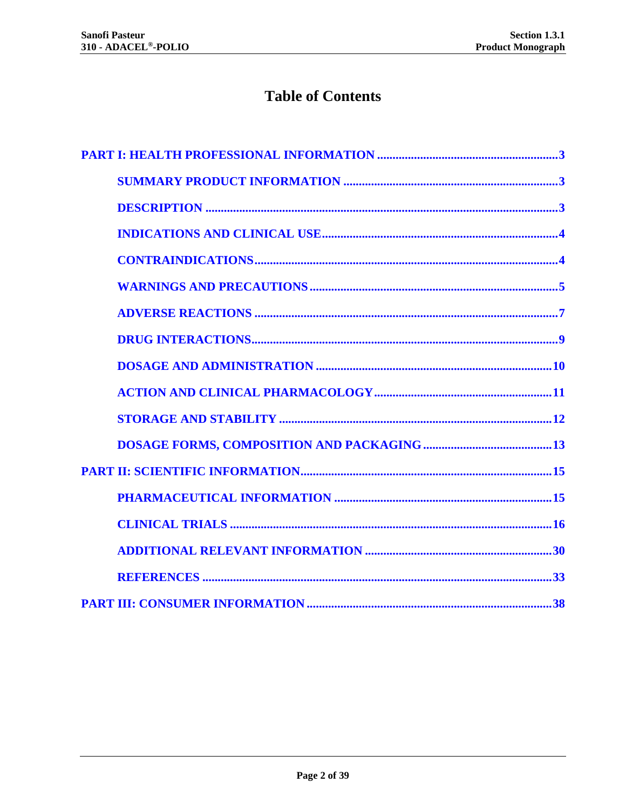# **Table of Contents**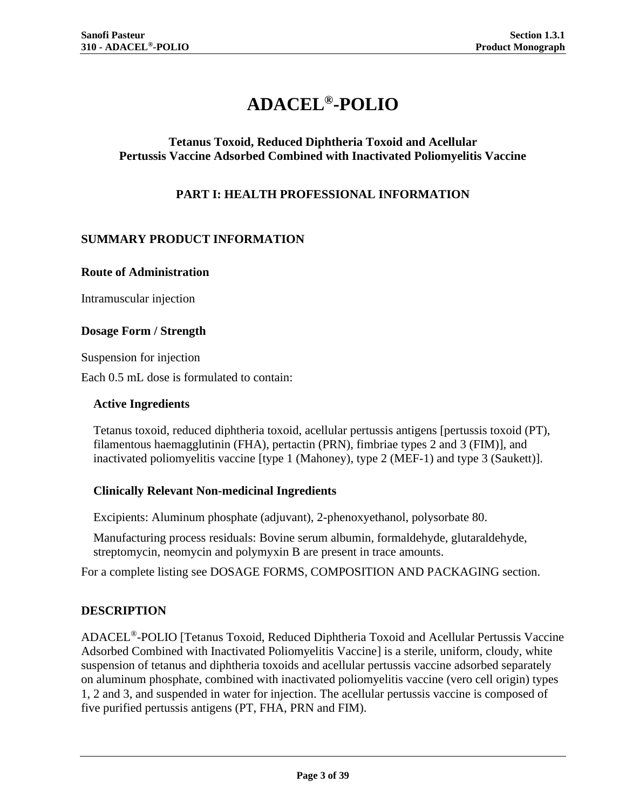# **ADACEL® -POLIO**

# <span id="page-2-0"></span>**Tetanus Toxoid, Reduced Diphtheria Toxoid and Acellular Pertussis Vaccine Adsorbed Combined with Inactivated Poliomyelitis Vaccine**

# **PART I: HEALTH PROFESSIONAL INFORMATION**

## <span id="page-2-1"></span>**SUMMARY PRODUCT INFORMATION**

#### **Route of Administration**

Intramuscular injection

#### **Dosage Form / Strength**

Suspension for injection

Each 0.5 mL dose is formulated to contain:

#### **Active Ingredients**

Tetanus toxoid, reduced diphtheria toxoid, acellular pertussis antigens [pertussis toxoid (PT), filamentous haemagglutinin (FHA), pertactin (PRN), fimbriae types 2 and 3 (FIM)], and inactivated poliomyelitis vaccine [type 1 (Mahoney), type 2 (MEF-1) and type 3 (Saukett)].

#### **Clinically Relevant Non-medicinal Ingredients**

Excipients: Aluminum phosphate (adjuvant), 2-phenoxyethanol, polysorbate 80.

Manufacturing process residuals: Bovine serum albumin, formaldehyde, glutaraldehyde, streptomycin, neomycin and polymyxin B are present in trace amounts.

<span id="page-2-2"></span>For a complete listing see [DOSAGE FORMS, COMPOSITION AND PACKAGING](#page-12-0) section.

#### **DESCRIPTION**

ADACEL®-POLIO [Tetanus Toxoid, Reduced Diphtheria Toxoid and Acellular Pertussis Vaccine Adsorbed Combined with Inactivated Poliomyelitis Vaccine] is a sterile, uniform, cloudy, white suspension of tetanus and diphtheria toxoids and acellular pertussis vaccine adsorbed separately on aluminum phosphate, combined with inactivated poliomyelitis vaccine (vero cell origin) types 1, 2 and 3, and suspended in water for injection. The acellular pertussis vaccine is composed of five purified pertussis antigens (PT, FHA, PRN and FIM).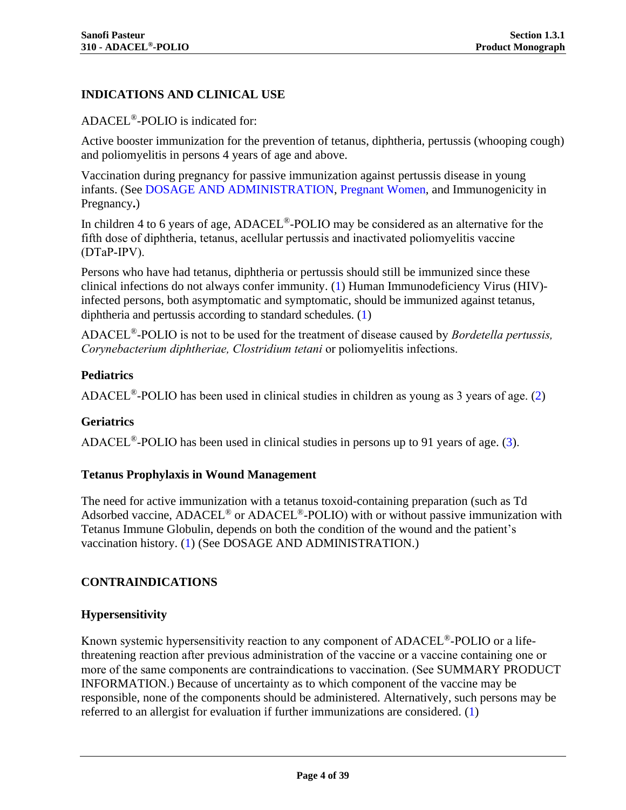# <span id="page-3-0"></span>**INDICATIONS AND CLINICAL USE**

ADACEL®-POLIO is indicated for:

Active booster immunization for the prevention of tetanus, diphtheria, pertussis (whooping cough) and poliomyelitis in persons 4 years of age and above.

Vaccination during pregnancy for passive immunization against pertussis disease in young infants. (See [DOSAGE AND ADMINISTRATION,](#page-9-0) [Pregnant Women,](#page-5-0) and Immunogenicity in Pregnancy**.**)

In children 4 to 6 years of age, ADACEL<sup>®</sup>-POLIO may be considered as an alternative for the fifth dose of diphtheria, tetanus, acellular pertussis and inactivated poliomyelitis vaccine (DTaP-IPV).

Persons who have had tetanus, diphtheria or pertussis should still be immunized since these clinical infections do not always confer immunity. [\(1\)](#page-32-1) Human Immunodeficiency Virus (HIV) infected persons, both asymptomatic and symptomatic, should be immunized against tetanus, diphtheria and pertussis according to standard schedules. [\(1\)](#page-32-1)

ADACEL®-POLIO is not to be used for the treatment of disease caused by *Bordetella pertussis, Corynebacterium diphtheriae, Clostridium tetani* or poliomyelitis infections.

#### **Pediatrics**

ADACEL ®-POLIO has been used in clinical studies in children as young as 3 years of age. [\(2\)](#page-32-2)

#### **Geriatrics**

ADACEL<sup>®</sup>-POLIO has been used in clinical studies in persons up to 91 years of age. [\(3\)](#page-32-3).

#### **Tetanus Prophylaxis in Wound Management**

The need for active immunization with a tetanus toxoid-containing preparation (such as Td Adsorbed vaccine, ADACEL<sup>®</sup> or ADACEL<sup>®</sup>-POLIO) with or without passive immunization with Tetanus Immune Globulin, depends on both the condition of the wound and the patient's vaccination history. [\(1\)](#page-32-1) (See [DOSAGE AND ADMINISTRATION.](#page-9-0))

#### <span id="page-3-1"></span>**CONTRAINDICATIONS**

#### **Hypersensitivity**

Known systemic hypersensitivity reaction to any component of ADACEL®-POLIO or a lifethreatening reaction after previous administration of the vaccine or a vaccine containing one or more of the same components are contraindications to vaccination. (See [SUMMARY PRODUCT](#page-2-1)  [INFORMATION](#page-2-1).) Because of uncertainty as to which component of the vaccine may be responsible, none of the components should be administered. Alternatively, such persons may be referred to an allergist for evaluation if further immunizations are considered. [\(1\)](#page-32-1)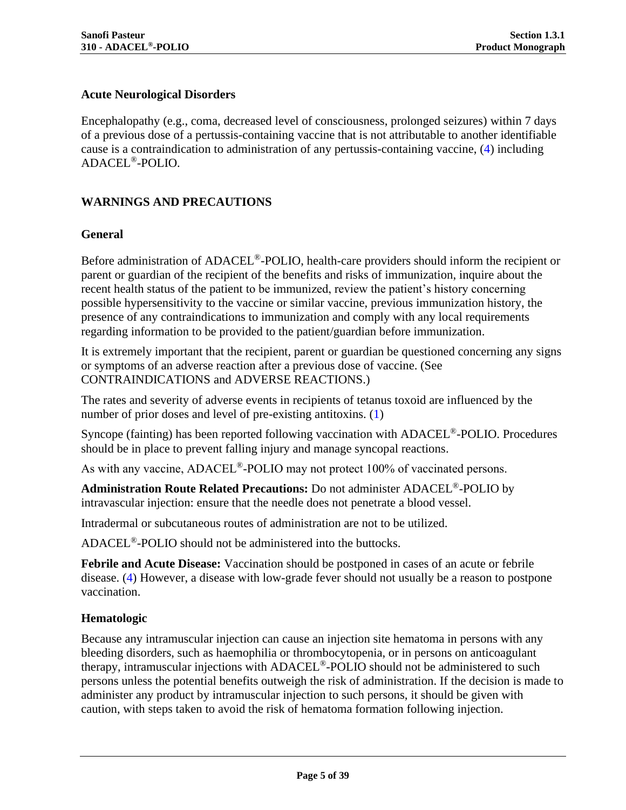# **Acute Neurological Disorders**

Encephalopathy (e.g., coma, decreased level of consciousness, prolonged seizures) within 7 days of a previous dose of a pertussis-containing vaccine that is not attributable to another identifiable cause is a contraindication to administration of any pertussis-containing vaccine, [\(4\)](#page-32-4) including ADACEL®-POLIO.

## <span id="page-4-0"></span>**WARNINGS AND PRECAUTIONS**

#### **General**

Before administration of ADACEL<sup>®</sup>-POLIO, health-care providers should inform the recipient or parent or guardian of the recipient of the benefits and risks of immunization, inquire about the recent health status of the patient to be immunized, review the patient's history concerning possible hypersensitivity to the vaccine or similar vaccine, previous immunization history, the presence of any contraindications to immunization and comply with any local requirements regarding information to be provided to the patient/guardian before immunization.

It is extremely important that the recipient, parent or guardian be questioned concerning any signs or symptoms of an adverse reaction after a previous dose of vaccine. (See [CONTRAINDICATIONS](#page-3-1) and [ADVERSE REACTIONS.](#page-6-0))

The rates and severity of adverse events in recipients of tetanus toxoid are influenced by the number of prior doses and level of pre-existing antitoxins. [\(1\)](#page-32-1)

Syncope (fainting) has been reported following vaccination with ADACEL<sup>®</sup>-POLIO. Procedures should be in place to prevent falling injury and manage syncopal reactions.

As with any vaccine,  $ADACEL^{\circledast}$ -POLIO may not protect 100% of vaccinated persons.

**Administration Route Related Precautions:** Do not administer ADACEL®-POLIO by intravascular injection: ensure that the needle does not penetrate a blood vessel.

Intradermal or subcutaneous routes of administration are not to be utilized.

ADACEL®-POLIO should not be administered into the buttocks.

**Febrile and Acute Disease:** Vaccination should be postponed in cases of an acute or febrile disease. [\(4\)](#page-32-4) However, a disease with low-grade fever should not usually be a reason to postpone vaccination.

#### **Hematologic**

Because any intramuscular injection can cause an injection site hematoma in persons with any bleeding disorders, such as haemophilia or thrombocytopenia, or in persons on anticoagulant therapy, intramuscular injections with ADACEL®-POLIO should not be administered to such persons unless the potential benefits outweigh the risk of administration. If the decision is made to administer any product by intramuscular injection to such persons, it should be given with caution, with steps taken to avoid the risk of hematoma formation following injection.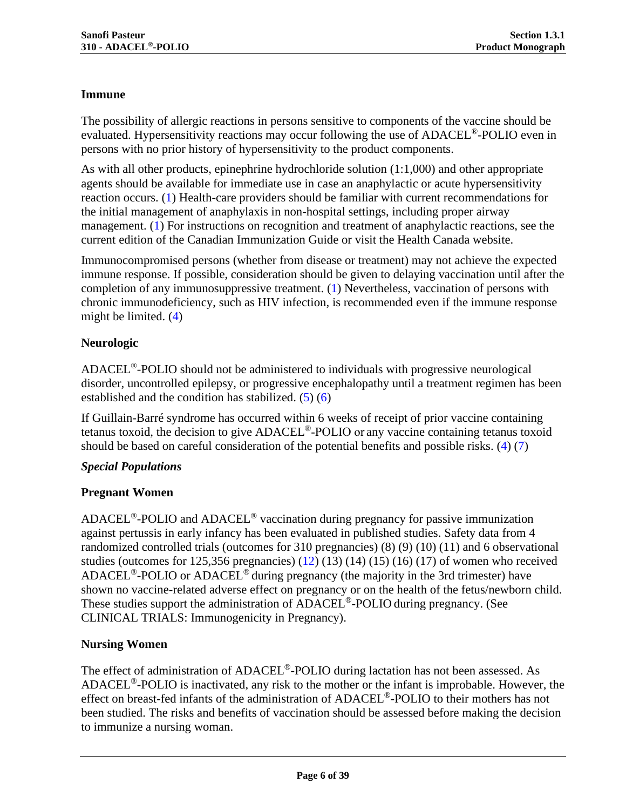# **Immune**

The possibility of allergic reactions in persons sensitive to components of the vaccine should be evaluated. Hypersensitivity reactions may occur following the use of ADACEL<sup>®</sup>-POLIO even in persons with no prior history of hypersensitivity to the product components.

As with all other products, epinephrine hydrochloride solution (1:1,000) and other appropriate agents should be available for immediate use in case an anaphylactic or acute hypersensitivity reaction occurs. [\(1\)](#page-32-1) Health-care providers should be familiar with current recommendations for the initial management of anaphylaxis in non-hospital settings, including proper airway management. [\(1\)](#page-32-1) For instructions on recognition and treatment of anaphylactic reactions, see the current edition of the Canadian Immunization Guide or visit the Health Canada website.

Immunocompromised persons (whether from disease or treatment) may not achieve the expected immune response. If possible, consideration should be given to delaying vaccination until after the completion of any immunosuppressive treatment. [\(1\)](#page-32-1) Nevertheless, vaccination of persons with chronic immunodeficiency, such as HIV infection, is recommended even if the immune response might be limited. [\(4\)](#page-32-4)

# **Neurologic**

ADACEL®-POLIO should not be administered to individuals with progressive neurological disorder, uncontrolled epilepsy, or progressive encephalopathy until a treatment regimen has been established and the condition has stabilized.  $(5)(6)$  $(5)(6)$ 

If Guillain-Barré syndrome has occurred within 6 weeks of receipt of prior vaccine containing tetanus toxoid, the decision to give ADACEL®-POLIO or any vaccine containing tetanus toxoid should be based on careful consideration of the potential benefits and possible risks. [\(4\)](#page-32-4) [\(7\)](#page-32-7)

# *Special Populations*

# <span id="page-5-0"></span>**Pregnant Women**

ADACEL<sup>®</sup>-POLIO and ADACEL<sup>®</sup> vaccination during pregnancy for passive immunization against pertussis in early infancy has been evaluated in published studies. Safety data from 4 randomized controlled trials (outcomes for 310 pregnancies) [\(8\)](#page-32-8) [\(9\)](#page-32-9) [\(10\)](#page-32-10) [\(11\)](#page-32-11) and 6 observational studies (outcomes for  $125,356$  pregnancies)  $(12)$   $(13)$   $(14)$   $(15)$   $(16)$   $(17)$  of women who received ADACEL®-POLIO or ADACEL® during pregnancy (the majority in the 3rd trimester) have shown no vaccine-related adverse effect on pregnancy or on the health of the fetus/newborn child. These studies support the administration of ADACEL<sup>®</sup>-POLIO during pregnancy. (See CLINICAL TRIALS: Immunogenicity in Pregnancy).

# **Nursing Women**

The effect of administration of ADACEL<sup>®</sup>-POLIO during lactation has not been assessed. As  $ADACEL<sup>®</sup>-POLIO$  is inactivated, any risk to the mother or the infant is improbable. However, the effect on breast-fed infants of the administration of ADACEL<sup>®</sup>-POLIO to their mothers has not been studied. The risks and benefits of vaccination should be assessed before making the decision to immunize a nursing woman.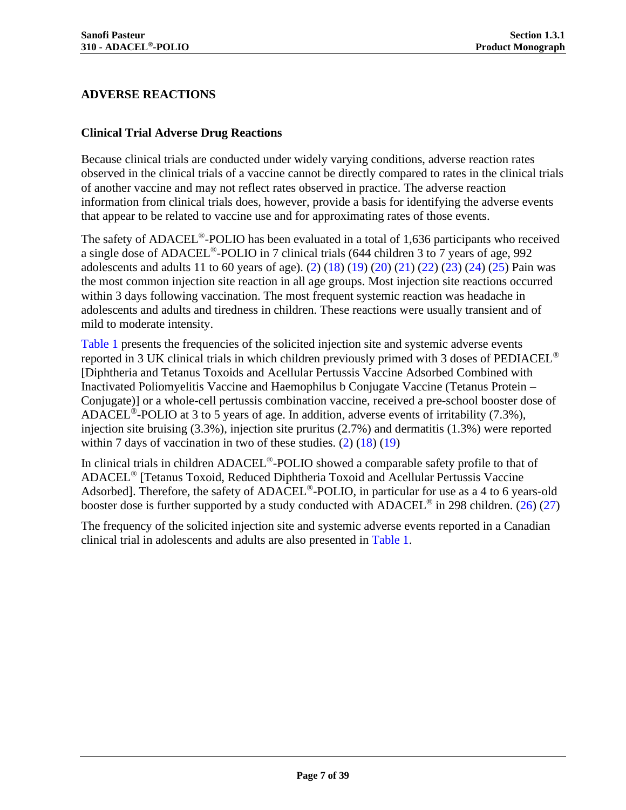# <span id="page-6-0"></span>**ADVERSE REACTIONS**

#### **Clinical Trial Adverse Drug Reactions**

Because clinical trials are conducted under widely varying conditions, adverse reaction rates observed in the clinical trials of a vaccine cannot be directly compared to rates in the clinical trials of another vaccine and may not reflect rates observed in practice. The adverse reaction information from clinical trials does, however, provide a basis for identifying the adverse events that appear to be related to vaccine use and for approximating rates of those events.

The safety of ADACEL<sup>®</sup>-POLIO has been evaluated in a total of 1,636 participants who received a single dose of ADACEL®-POLIO in 7 clinical trials (644 children 3 to 7 years of age, 992 adolescents and adults 11 to 60 years of age). [\(2\)](#page-32-2) [\(18\)](#page-32-13) [\(19\)](#page-33-3) [\(20\)](#page-33-4) [\(21\)](#page-33-5) [\(22\)](#page-33-6) [\(23\)](#page-33-7) [\(24\)](#page-33-8) [\(25\)](#page-33-9) Pain was the most common injection site reaction in all age groups. Most injection site reactions occurred within 3 days following vaccination. The most frequent systemic reaction was headache in adolescents and adults and tiredness in children. These reactions were usually transient and of mild to moderate intensity.

[Table 1](#page-7-0) presents the frequencies of the solicited injection site and systemic adverse events reported in 3 UK clinical trials in which children previously primed with 3 doses of PEDIACEL® [Diphtheria and Tetanus Toxoids and Acellular Pertussis Vaccine Adsorbed Combined with Inactivated Poliomyelitis Vaccine and Haemophilus b Conjugate Vaccine (Tetanus Protein – Conjugate)] or a whole-cell pertussis combination vaccine, received a pre-school booster dose of ADACEL<sup>®</sup>-POLIO at 3 to 5 years of age. In addition, adverse events of irritability (7.3%), injection site bruising (3.3%), injection site pruritus (2.7%) and dermatitis (1.3%) were reported within 7 days of vaccination in two of these studies.  $(2)$   $(18)$   $(19)$ 

In clinical trials in children ADACEL®-POLIO showed a comparable safety profile to that of ADACEL® [Tetanus Toxoid, Reduced Diphtheria Toxoid and Acellular Pertussis Vaccine Adsorbed]. Therefore, the safety of ADACEL<sup>®</sup>-POLIO, in particular for use as a 4 to 6 years-old booster dose is further supported by a study conducted with  $ADACEL^{\circledcirc}$  in 298 children. [\(26\)](#page-33-10) [\(27\)](#page-33-11)

The frequency of the solicited injection site and systemic adverse events reported in a Canadian clinical trial in adolescents and adults are also presented in [Table 1.](#page-7-0)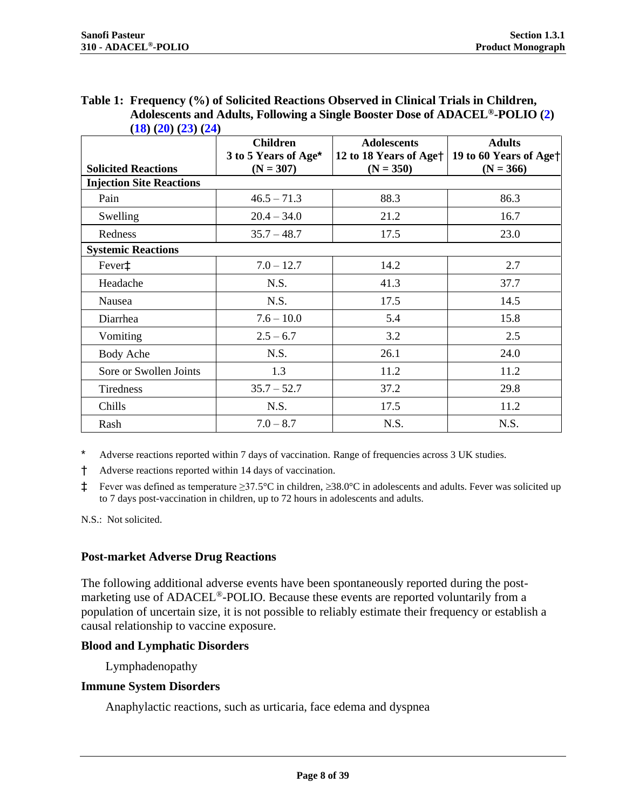<span id="page-7-0"></span>

| Table 1: Frequency (%) of Solicited Reactions Observed in Clinical Trials in Children,    |
|-------------------------------------------------------------------------------------------|
| Adolescents and Adults, Following a Single Booster Dose of ADACEL <sup>®</sup> -POLIO (2) |
| (18)(20)(23)(24)                                                                          |

<span id="page-7-1"></span>

|                                 | <b>Children</b>                     | <b>Adolescents</b>                                | <b>Adults</b>                                     |
|---------------------------------|-------------------------------------|---------------------------------------------------|---------------------------------------------------|
| <b>Solicited Reactions</b>      | 3 to 5 Years of Age*<br>$(N = 307)$ | 12 to 18 Years of Age <sup>+</sup><br>$(N = 350)$ | 19 to 60 Years of Age <sup>+</sup><br>$(N = 366)$ |
| <b>Injection Site Reactions</b> |                                     |                                                   |                                                   |
| Pain                            | $46.5 - 71.3$                       | 88.3                                              | 86.3                                              |
| Swelling                        | $20.4 - 34.0$                       | 21.2                                              | 16.7                                              |
| Redness                         | $35.7 - 48.7$                       | 17.5                                              | 23.0                                              |
| <b>Systemic Reactions</b>       |                                     |                                                   |                                                   |
| Fever <sup>‡</sup>              | $7.0 - 12.7$                        | 14.2                                              | 2.7                                               |
| Headache                        | N.S.                                | 41.3                                              | 37.7                                              |
| Nausea                          | N.S.                                | 17.5                                              | 14.5                                              |
| Diarrhea                        | $7.6 - 10.0$                        | 5.4                                               | 15.8                                              |
| Vomiting                        | $2.5 - 6.7$                         | 3.2                                               | 2.5                                               |
| Body Ache                       | N.S.                                | 26.1                                              | 24.0                                              |
| Sore or Swollen Joints          | 1.3                                 | 11.2                                              | 11.2                                              |
| Tiredness                       | $35.7 - 52.7$                       | 37.2                                              | 29.8                                              |
| Chills                          | N.S.                                | 17.5                                              | 11.2                                              |
| Rash                            | $7.0 - 8.7$                         | N.S.                                              | N.S.                                              |

\* Adverse reactions reported within 7 days of vaccination. Range of frequencies across 3 UK studies.

† Adverse reactions reported within 14 days of vaccination.

‡ Fever was defined as temperature ≥37.5°C in children, ≥38.0°C in adolescents and adults. Fever was solicited up to 7 days post-vaccination in children, up to 72 hours in adolescents and adults.

N.S.: Not solicited.

#### **Post-market Adverse Drug Reactions**

The following additional adverse events have been spontaneously reported during the postmarketing use of ADACEL®-POLIO. Because these events are reported voluntarily from a population of uncertain size, it is not possible to reliably estimate their frequency or establish a causal relationship to vaccine exposure.

#### **Blood and Lymphatic Disorders**

Lymphadenopathy

#### **Immune System Disorders**

Anaphylactic reactions, such as urticaria, face edema and dyspnea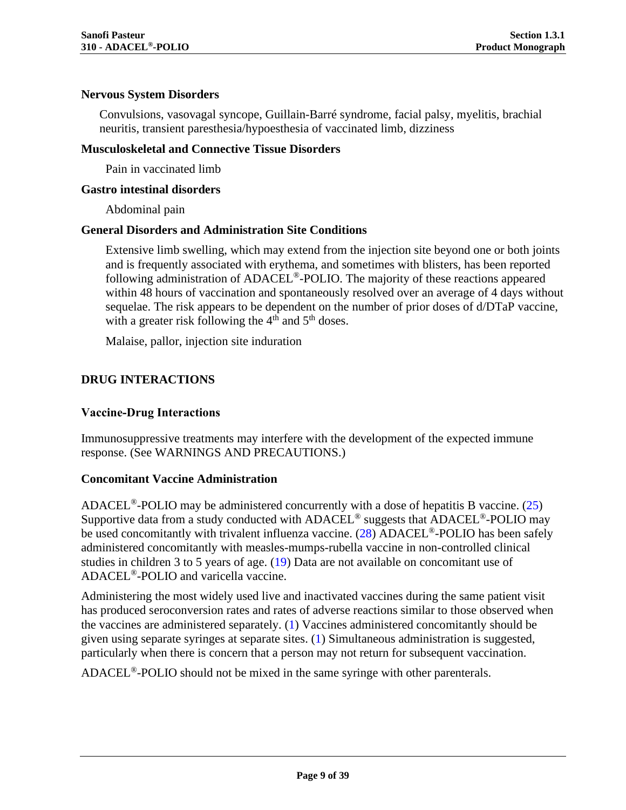#### **Nervous System Disorders**

Convulsions, vasovagal syncope, Guillain-Barré syndrome, facial palsy, myelitis, brachial neuritis, transient paresthesia/hypoesthesia of vaccinated limb, dizziness

#### **Musculoskeletal and Connective Tissue Disorders**

Pain in vaccinated limb

#### **Gastro intestinal disorders**

Abdominal pain

#### **General Disorders and Administration Site Conditions**

Extensive limb swelling, which may extend from the injection site beyond one or both joints and is frequently associated with erythema, and sometimes with blisters, has been reported following administration of ADACEL®-POLIO. The majority of these reactions appeared within 48 hours of vaccination and spontaneously resolved over an average of 4 days without sequelae. The risk appears to be dependent on the number of prior doses of d/DTaP vaccine, with a greater risk following the  $4<sup>th</sup>$  and  $5<sup>th</sup>$  doses.

Malaise, pallor, injection site induration

# <span id="page-8-0"></span>**DRUG INTERACTIONS**

#### **Vaccine-Drug Interactions**

Immunosuppressive treatments may interfere with the development of the expected immune response. (See [WARNINGS AND PRECAUTIONS.](#page-4-0))

#### **Concomitant Vaccine Administration**

ADACEL<sup>®</sup>-POLIO may be administered concurrently with a dose of hepatitis B vaccine. [\(25\)](#page-33-9) Supportive data from a study conducted with  $ADACEL^\circledast$  suggests that  $ADACEL^\circledast$ -POLIO may be used concomitantly with trivalent influenza vaccine. [\(28\)](#page-33-12) ADACEL<sup>®</sup>-POLIO has been safely administered concomitantly with measles-mumps-rubella vaccine in non-controlled clinical studies in children 3 to 5 years of age. [\(19\)](#page-33-3) Data are not available on concomitant use of ADACEL®-POLIO and varicella vaccine.

Administering the most widely used live and inactivated vaccines during the same patient visit has produced seroconversion rates and rates of adverse reactions similar to those observed when the vaccines are administered separately. [\(1\)](#page-32-1) Vaccines administered concomitantly should be given using separate syringes at separate sites. [\(1\)](#page-32-1) Simultaneous administration is suggested, particularly when there is concern that a person may not return for subsequent vaccination.

ADACEL<sup>®</sup>-POLIO should not be mixed in the same syringe with other parenterals.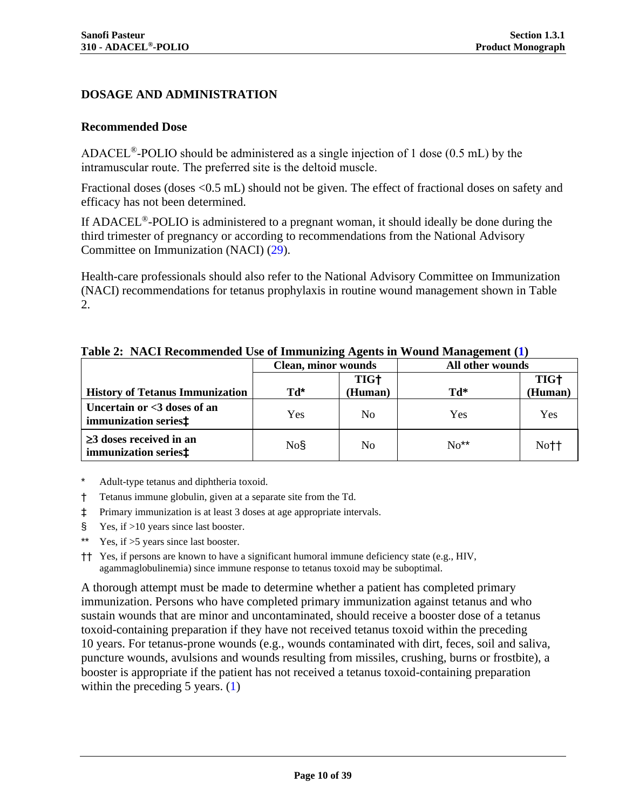## <span id="page-9-0"></span>**DOSAGE AND ADMINISTRATION**

#### **Recommended Dose**

ADACEL<sup>®</sup>-POLIO should be administered as a single injection of 1 dose (0.5 mL) by the intramuscular route. The preferred site is the deltoid muscle.

Fractional doses (doses <0.5 mL) should not be given. The effect of fractional doses on safety and efficacy has not been determined.

If ADACEL®-POLIO is administered to a pregnant woman, it should ideally be done during the third trimester of pregnancy or according to recommendations from the National Advisory Committee on Immunization (NACI) (29).

Health-care professionals should also refer to the National Advisory Committee on Immunization (NACI) recommendations for tetanus prophylaxis in routine wound management shown in Table 2.

<span id="page-9-3"></span><span id="page-9-1"></span>

|                                                                   | <b>Clean, minor wounds</b> |                  | All other wounds |             |
|-------------------------------------------------------------------|----------------------------|------------------|------------------|-------------|
|                                                                   |                            | TIG <sup>+</sup> |                  | <b>TIG+</b> |
| <b>History of Tetanus Immunization</b>                            | Td*                        | (Human)          | *hT              | (Human)     |
| Uncertain or <3 doses of an<br>immunization series <sup>±</sup>   | Yes                        | N <sub>0</sub>   | Yes              | Yes         |
| $\geq$ 3 doses received in an<br>immunization series <sup>‡</sup> | No§                        | No               | $No**$           | Not1        |

<span id="page-9-2"></span>**Table 2: NACI Recommended Use of Immunizing Agents in Wound Management [\(1\)](#page-32-1)**

Adult-type tetanus and diphtheria toxoid.

- † Tetanus immune globulin, given at a separate site from the Td.
- ‡ Primary immunization is at least 3 doses at age appropriate intervals.
- § Yes, if >10 years since last booster.
- Yes, if  $>5$  years since last booster.
- †† Yes, if persons are known to have a significant humoral immune deficiency state (e.g., HIV, agammaglobulinemia) since immune response to tetanus toxoid may be suboptimal.

A thorough attempt must be made to determine whether a patient has completed primary immunization. Persons who have completed primary immunization against tetanus and who sustain wounds that are minor and uncontaminated, should receive a booster dose of a tetanus toxoid-containing preparation if they have not received tetanus toxoid within the preceding 10 years. For tetanus-prone wounds (e.g., wounds contaminated with dirt, feces, soil and saliva, puncture wounds, avulsions and wounds resulting from missiles, crushing, burns or frostbite), a booster is appropriate if the patient has not received a tetanus toxoid-containing preparation within the preceding  $5$  years.  $(1)$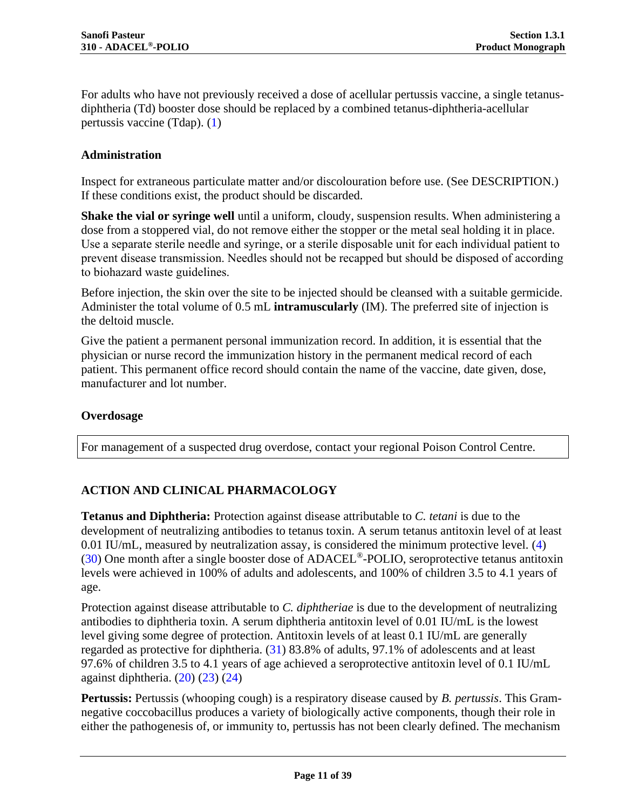For adults who have not previously received a dose of acellular pertussis vaccine, a single tetanusdiphtheria (Td) booster dose should be replaced by a combined tetanus-diphtheria-acellular pertussis vaccine (Tdap). [\(1\)](#page-32-1)

#### **Administration**

Inspect for extraneous particulate matter and/or discolouration before use. (See [DESCRIPTION.](#page-2-2)) If these conditions exist, the product should be discarded.

**Shake the vial or syringe well** until a uniform, cloudy, suspension results. When administering a dose from a stoppered vial, do not remove either the stopper or the metal seal holding it in place. Use a separate sterile needle and syringe, or a sterile disposable unit for each individual patient to prevent disease transmission. Needles should not be recapped but should be disposed of according to biohazard waste guidelines.

Before injection, the skin over the site to be injected should be cleansed with a suitable germicide. Administer the total volume of 0.5 mL **intramuscularly** (IM). The preferred site of injection is the deltoid muscle.

Give the patient a permanent personal immunization record. In addition, it is essential that the physician or nurse record the immunization history in the permanent medical record of each patient. This permanent office record should contain the name of the vaccine, date given, dose, manufacturer and lot number.

#### **Overdosage**

<span id="page-10-0"></span>For management of a suspected drug overdose, contact your regional Poison Control Centre.

# **ACTION AND CLINICAL PHARMACOLOGY**

**Tetanus and Diphtheria:** Protection against disease attributable to *C. tetani* is due to the development of neutralizing antibodies to tetanus toxin. A serum tetanus antitoxin level of at least 0.01 IU/mL, measured by neutralization assay, is considered the minimum protective level. [\(4\)](#page-32-4) [\(30\)](#page-33-13) One month after a single booster dose of ADACEL®-POLIO, seroprotective tetanus antitoxin levels were achieved in 100% of adults and adolescents, and 100% of children 3.5 to 4.1 years of age.

Protection against disease attributable to *C. diphtheriae* is due to the development of neutralizing antibodies to diphtheria toxin. A serum diphtheria antitoxin level of 0.01 IU/mL is the lowest level giving some degree of protection. Antitoxin levels of at least 0.1 IU/mL are generally regarded as protective for diphtheria. [\(31\)](#page-33-14) 83.8% of adults, 97.1% of adolescents and at least 97.6% of children 3.5 to 4.1 years of age achieved a seroprotective antitoxin level of 0.1 IU/mL against diphtheria.  $(20)$   $(23)$   $(24)$ 

**Pertussis:** Pertussis (whooping cough) is a respiratory disease caused by *B. pertussis*. This Gramnegative coccobacillus produces a variety of biologically active components, though their role in either the pathogenesis of, or immunity to, pertussis has not been clearly defined. The mechanism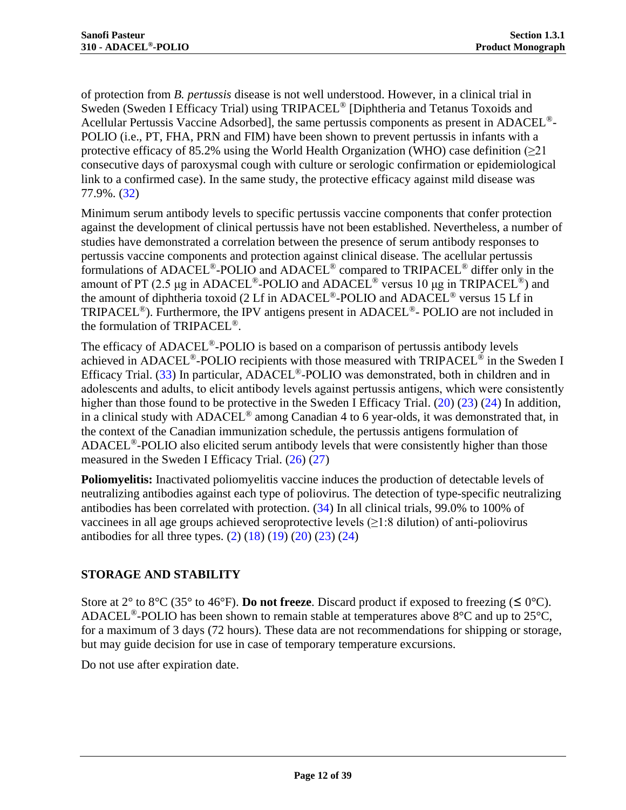of protection from *B. pertussis* disease is not well understood. However, in a clinical trial in Sweden (Sweden I Efficacy Trial) using TRIPACEL<sup>®</sup> [Diphtheria and Tetanus Toxoids and Acellular Pertussis Vaccine Adsorbed], the same pertussis components as present in ADACEL®- POLIO (i.e., PT, FHA, PRN and FIM) have been shown to prevent pertussis in infants with a protective efficacy of 85.2% using the World Health Organization (WHO) case definition ( $\geq$ 21 consecutive days of paroxysmal cough with culture or serologic confirmation or epidemiological link to a confirmed case). In the same study, the protective efficacy against mild disease was 77.9%. [\(32\)](#page-34-0)

Minimum serum antibody levels to specific pertussis vaccine components that confer protection against the development of clinical pertussis have not been established. Nevertheless, a number of studies have demonstrated a correlation between the presence of serum antibody responses to pertussis vaccine components and protection against clinical disease. The acellular pertussis formulations of ADACEL<sup>®</sup>-POLIO and ADACEL<sup>®</sup> compared to TRIPACEL<sup>®</sup> differ only in the amount of PT (2.5 μg in ADACEL<sup>®</sup>-POLIO and ADACEL<sup>®</sup> versus 10 μg in TRIPACEL<sup>®</sup>) and the amount of diphtheria toxoid (2 Lf in ADACEL®-POLIO and ADACEL® versus 15 Lf in TRIPACEL<sup>®</sup>). Furthermore, the IPV antigens present in ADACEL<sup>®</sup>- POLIO are not included in the formulation of TRIPACEL<sup>®</sup>.

The efficacy of ADACEL<sup>®</sup>-POLIO is based on a comparison of pertussis antibody levels achieved in ADACEL<sup>®</sup>-POLIO recipients with those measured with  $TRIPACE<sup>®</sup>$  in the Sweden I Efficacy Trial. [\(33\)](#page-34-1) In particular, ADACEL<sup>®</sup>-POLIO was demonstrated, both in children and in adolescents and adults, to elicit antibody levels against pertussis antigens, which were consistently higher than those found to be protective in the Sweden I Efficacy Trial. [\(20\)](#page-33-4) [\(23\)](#page-33-7) [\(24\)](#page-33-8) In addition, in a clinical study with ADACEL<sup>®</sup> among Canadian 4 to 6 year-olds, it was demonstrated that, in the context of the Canadian immunization schedule, the pertussis antigens formulation of ADACEL<sup>®</sup>-POLIO also elicited serum antibody levels that were consistently higher than those measured in the Sweden I Efficacy Trial.  $(26)$   $(27)$ 

**Poliomyelitis:** Inactivated poliomyelitis vaccine induces the production of detectable levels of neutralizing antibodies against each type of poliovirus. The detection of type-specific neutralizing antibodies has been correlated with protection. [\(34\)](#page-34-2) In all clinical trials, 99.0% to 100% of vaccinees in all age groups achieved seroprotective levels  $(\geq 1:8$  dilution) of anti-poliovirus antibodies for all three types.  $(2)$   $(18)$   $(19)$   $(20)$   $(23)$   $(24)$ 

# <span id="page-11-0"></span>**STORAGE AND STABILITY**

Store at 2° to 8°C (35° to 46°F). **Do not freeze**. Discard product if exposed to freezing ( $\leq 0$ °C). ADACEL<sup>®</sup>-POLIO has been shown to remain stable at temperatures above  $8^{\circ}$ C and up to 25 $^{\circ}$ C, for a maximum of 3 days (72 hours). These data are not recommendations for shipping or storage, but may guide decision for use in case of temporary temperature excursions.

Do not use after expiration date.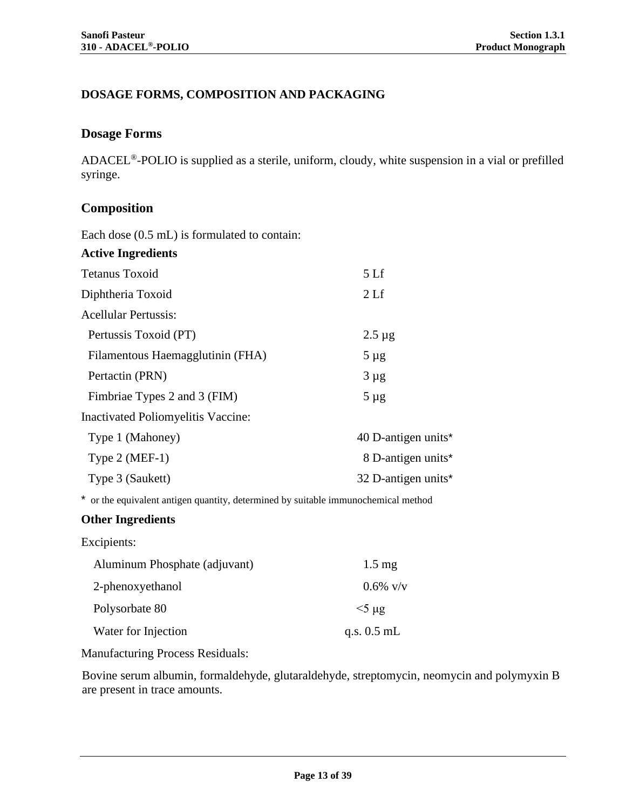# <span id="page-12-0"></span>**DOSAGE FORMS, COMPOSITION AND PACKAGING**

# **Dosage Forms**

ADACEL ®-POLIO is supplied as a sterile, uniform, cloudy, white suspension in a vial or prefilled syringe.

# **Composition**

Each dose (0.5 mL) is formulated to contain:

| 5 <sub>Lf</sub>                 |
|---------------------------------|
| 2 <sub>Lf</sub>                 |
|                                 |
| $2.5 \mu$ g                     |
| $5 \mu$ g                       |
| $3 \mu g$                       |
| $5 \mu g$                       |
|                                 |
| 40 D-antigen units <sup>*</sup> |
| 8 D-antigen units*              |
| 32 D-antigen units*             |
|                                 |

\* or the equivalent antigen quantity, determined by suitable immunochemical method

# **Other Ingredients**

Excipients:

| Aluminum Phosphate (adjuvant) | $1.5 \text{ mg}$ |
|-------------------------------|------------------|
| 2-phenoxyethanol              | $0.6\%$ v/v      |
| Polysorbate 80                | $5\ \mu$ g       |
| Water for Injection           | q.s. $0.5$ mL    |

Manufacturing Process Residuals:

Bovine serum albumin, formaldehyde, glutaraldehyde, streptomycin, neomycin and polymyxin B are present in trace amounts.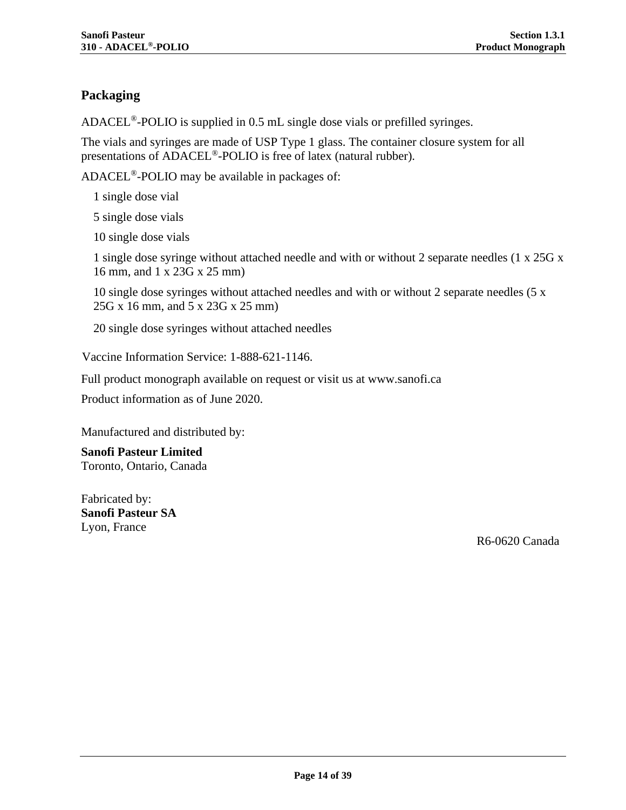# **Packaging**

ADACEL<sup>®</sup>-POLIO is supplied in 0.5 mL single dose vials or prefilled syringes.

The vials and syringes are made of USP Type 1 glass. The container closure system for all presentations of ADACEL®-POLIO is free of latex (natural rubber).

ADACEL®-POLIO may be available in packages of:

1 single dose vial

5 single dose vials

10 single dose vials

1 single dose syringe without attached needle and with or without 2 separate needles (1 x 25G x 16 mm, and 1 x 23G x 25 mm)

10 single dose syringes without attached needles and with or without 2 separate needles (5 x 25G x 16 mm, and 5 x 23G x 25 mm)

20 single dose syringes without attached needles

Vaccine Information Service: 1-888-621-1146.

Full product monograph available on request or visit us at www.sanofi.ca

Product information as of June 2020.

Manufactured and distributed by:

**Sanofi Pasteur Limited** Toronto, Ontario, Canada

Fabricated by: **Sanofi Pasteur SA** Lyon, France

R6-0620 Canada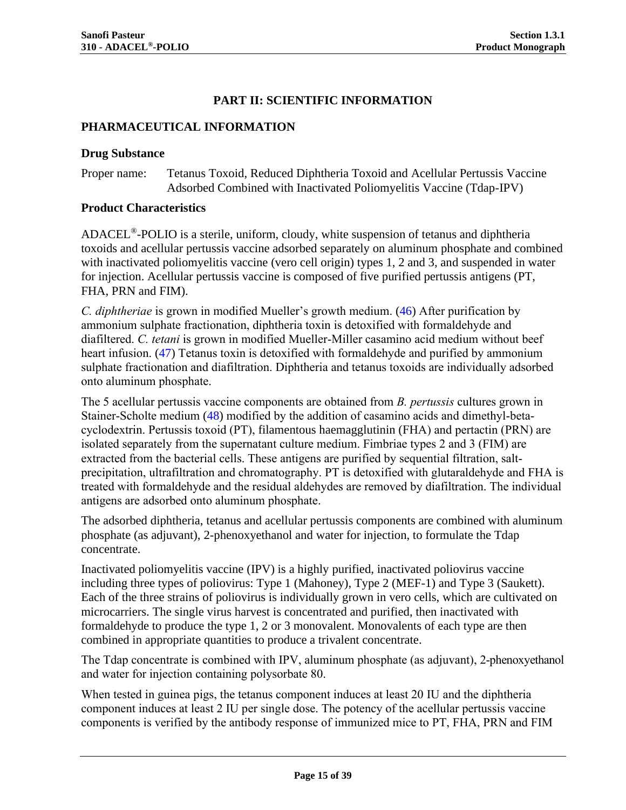# **PART II: SCIENTIFIC INFORMATION**

#### <span id="page-14-1"></span><span id="page-14-0"></span>**PHARMACEUTICAL INFORMATION**

#### **Drug Substance**

Proper name: Tetanus Toxoid, Reduced Diphtheria Toxoid and Acellular Pertussis Vaccine Adsorbed Combined with Inactivated Poliomyelitis Vaccine (Tdap-IPV)

#### **Product Characteristics**

ADACEL®-POLIO is a sterile, uniform, cloudy, white suspension of tetanus and diphtheria toxoids and acellular pertussis vaccine adsorbed separately on aluminum phosphate and combined with inactivated poliomyelitis vaccine (vero cell origin) types 1, 2 and 3, and suspended in water for injection. Acellular pertussis vaccine is composed of five purified pertussis antigens (PT, FHA, PRN and FIM).

*C. diphtheriae* is grown in modified Mueller's growth medium. [\(46\)](#page-34-3) After purification by ammonium sulphate fractionation, diphtheria toxin is detoxified with formaldehyde and diafiltered. *C. tetani* is grown in modified Mueller-Miller casamino acid medium without beef heart infusion. [\(47\)](#page-34-4) Tetanus toxin is detoxified with formaldehyde and purified by ammonium sulphate fractionation and diafiltration. Diphtheria and tetanus toxoids are individually adsorbed onto aluminum phosphate.

The 5 acellular pertussis vaccine components are obtained from *B. pertussis* cultures grown in Stainer-Scholte medium [\(48\)](#page-34-5) modified by the addition of casamino acids and dimethyl-betacyclodextrin. Pertussis toxoid (PT), filamentous haemagglutinin (FHA) and pertactin (PRN) are isolated separately from the supernatant culture medium. Fimbriae types 2 and 3 (FIM) are extracted from the bacterial cells. These antigens are purified by sequential filtration, saltprecipitation, ultrafiltration and chromatography. PT is detoxified with glutaraldehyde and FHA is treated with formaldehyde and the residual aldehydes are removed by diafiltration. The individual antigens are adsorbed onto aluminum phosphate.

The adsorbed diphtheria, tetanus and acellular pertussis components are combined with aluminum phosphate (as adjuvant), 2-phenoxyethanol and water for injection, to formulate the Tdap concentrate.

Inactivated poliomyelitis vaccine (IPV) is a highly purified, inactivated poliovirus vaccine including three types of poliovirus: Type 1 (Mahoney), Type 2 (MEF-1) and Type 3 (Saukett). Each of the three strains of poliovirus is individually grown in vero cells, which are cultivated on microcarriers. The single virus harvest is concentrated and purified, then inactivated with formaldehyde to produce the type 1, 2 or 3 monovalent. Monovalents of each type are then combined in appropriate quantities to produce a trivalent concentrate.

The Tdap concentrate is combined with IPV, aluminum phosphate (as adjuvant), 2-phenoxyethanol and water for injection containing polysorbate 80.

When tested in guinea pigs, the tetanus component induces at least 20 IU and the diphtheria component induces at least 2 IU per single dose. The potency of the acellular pertussis vaccine components is verified by the antibody response of immunized mice to PT, FHA, PRN and FIM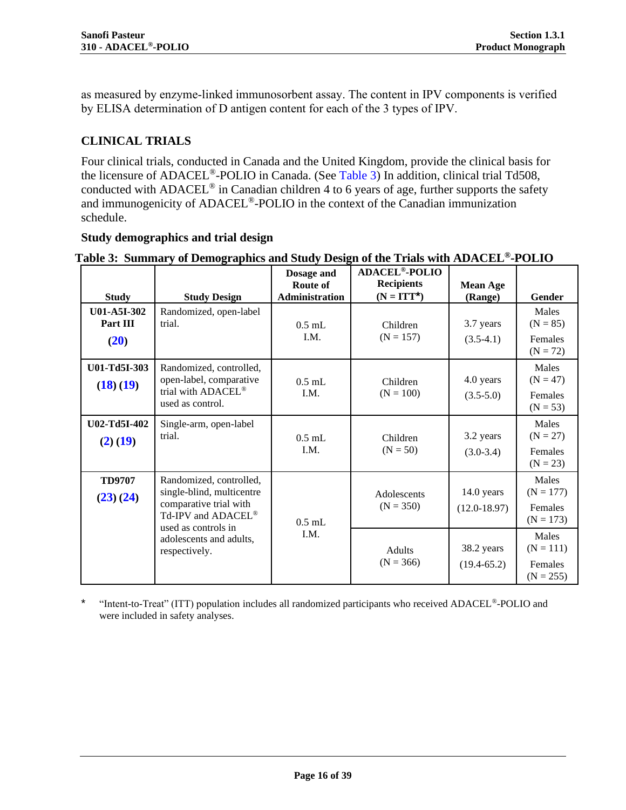as measured by enzyme-linked immunosorbent assay. The content in IPV components is verified by ELISA determination of D antigen content for each of the 3 types of IPV.

# <span id="page-15-0"></span>**CLINICAL TRIALS**

Four clinical trials, conducted in Canada and the United Kingdom, provide the clinical basis for the licensure of ADACEL®-POLIO in Canada. (See [Table 3\)](#page-15-1) In addition, clinical trial Td508, conducted with ADACEL<sup>®</sup> in Canadian children 4 to 6 years of age, further supports the safety and immunogenicity of ADACEL®-POLIO in the context of the Canadian immunization schedule.

#### **Study demographics and trial design**

| <b>Study</b>                    | <b>Study Design</b>                                                                                                         | Dosage and<br>Route of<br>Administration | <b>ADACEL<sup>®</sup>-POLIO</b><br><b>Recipients</b><br>$(N = ITT^*)$ | <b>Mean Age</b><br>(Range)     | Gender                                              |
|---------------------------------|-----------------------------------------------------------------------------------------------------------------------------|------------------------------------------|-----------------------------------------------------------------------|--------------------------------|-----------------------------------------------------|
| U01-A5I-302<br>Part III<br>(20) | Randomized, open-label<br>trial.                                                                                            | $0.5$ mL<br>I.M.                         | Children<br>$(N = 157)$                                               | 3.7 years<br>$(3.5-4.1)$       | Males<br>$(N = 85)$<br>Females<br>$(N = 72)$        |
| U01-Td5I-303<br>(18)(19)        | Randomized, controlled,<br>open-label, comparative<br>trial with ADACEL®<br>used as control.                                | $0.5$ mL<br>I.M.                         | Children<br>$(N = 100)$                                               | 4.0 years<br>$(3.5-5.0)$       | Males<br>$(N = 47)$<br>Females<br>$(N = 53)$        |
| U02-Td5I-402<br>(2) (19)        | Single-arm, open-label<br>trial.                                                                                            | $0.5$ mL<br>I.M.                         | Children<br>$(N = 50)$                                                | 3.2 years<br>$(3.0-3.4)$       | <b>Males</b><br>$(N = 27)$<br>Females<br>$(N = 23)$ |
| <b>TD9707</b><br>(23)(24)       | Randomized, controlled,<br>single-blind, multicentre<br>comparative trial with<br>Td-IPV and ADACEL®<br>used as controls in | $0.5$ mL                                 | Adolescents<br>$(N = 350)$                                            | 14.0 years<br>$(12.0 - 18.97)$ | Males<br>$(N = 177)$<br>Females<br>$(N = 173)$      |
|                                 | adolescents and adults,<br>respectively.                                                                                    | I.M.                                     | Adults<br>$(N = 366)$                                                 | 38.2 years<br>$(19.4 - 65.2)$  | Males<br>$(N = 111)$<br>Females<br>$(N = 255)$      |

#### <span id="page-15-1"></span>**Table 3: Summary of Demographics and Study Design of the Trials with ADACEL®-POLIO**

\* "Intent-to-Treat" (ITT) population includes all randomized participants who received ADACEL®-POLIO and were included in safety analyses.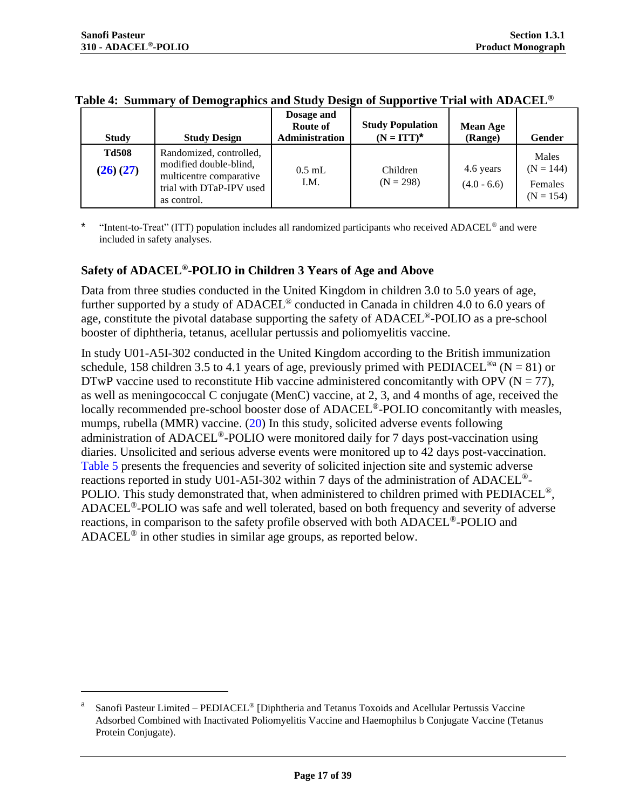| <b>Study</b>             | <b>Study Design</b>                                                                                                     | Dosage and<br>Route of<br>Administration | <b>Study Population</b><br>$(N = ITT)^*$ | <b>Mean Age</b><br>(Range) | Gender                                         |
|--------------------------|-------------------------------------------------------------------------------------------------------------------------|------------------------------------------|------------------------------------------|----------------------------|------------------------------------------------|
| <b>Td508</b><br>(26)(27) | Randomized, controlled,<br>modified double-blind,<br>multicentre comparative<br>trial with DTaP-IPV used<br>as control. | $0.5$ mL<br>I.M.                         | Children<br>$(N = 298)$                  | 4.6 years<br>$(4.0 - 6.6)$ | Males<br>$(N = 144)$<br>Females<br>$(N = 154)$ |

|  |  |  | Table 4: Summary of Demographics and Study Design of Supportive Trial with ADACEL $^\circ$ |
|--|--|--|--------------------------------------------------------------------------------------------|
|  |  |  |                                                                                            |

\* "Intent-to-Treat" (ITT) population includes all randomized participants who received ADACEL® and were included in safety analyses.

#### <span id="page-16-0"></span>**Safety of ADACEL®-POLIO in Children 3 Years of Age and Above**

Data from three studies conducted in the United Kingdom in children 3.0 to 5.0 years of age, further supported by a study of ADACEL<sup>®</sup> conducted in Canada in children 4.0 to 6.0 years of age, constitute the pivotal database supporting the safety of ADACEL®-POLIO as a pre-school booster of diphtheria, tetanus, acellular pertussis and poliomyelitis vaccine.

In study U01-A5I-302 conducted in the United Kingdom according to the British immunization schedule, 158 children 3.5 to 4.1 years of age, previously primed with PEDIACEL<sup>®a</sup> (N = 81) or DTwP vaccine used to reconstitute Hib vaccine administered concomitantly with OPV ( $N = 77$ ), as well as meningococcal C conjugate (MenC) vaccine, at 2, 3, and 4 months of age, received the locally recommended pre-school booster dose of ADACEL®-POLIO concomitantly with measles, mumps, rubella (MMR) vaccine.  $(20)$  In this study, solicited adverse events following administration of ADACEL®-POLIO were monitored daily for 7 days post-vaccination using diaries. Unsolicited and serious adverse events were monitored up to 42 days post-vaccination. [Table 5](#page-17-0) presents the frequencies and severity of solicited injection site and systemic adverse reactions reported in study U01-A5I-302 within 7 days of the administration of ADACEL®- POLIO. This study demonstrated that, when administered to children primed with PEDIACEL®, ADACEL®-POLIO was safe and well tolerated, based on both frequency and severity of adverse reactions, in comparison to the safety profile observed with both ADACEL®-POLIO and ADACEL® in other studies in similar age groups, as reported below.

a Sanofi Pasteur Limited – PEDIACEL® [Diphtheria and Tetanus Toxoids and Acellular Pertussis Vaccine Adsorbed Combined with Inactivated Poliomyelitis Vaccine and Haemophilus b Conjugate Vaccine (Tetanus Protein Conjugate).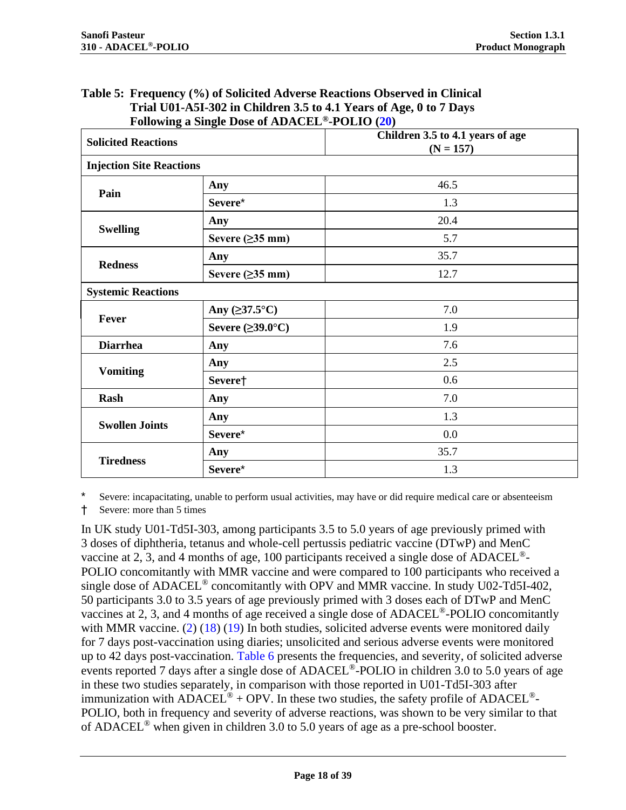<span id="page-17-1"></span>

| <b>Solicited Reactions</b>      |                               | Children 3.5 to 4.1 years of age<br>$(N = 157)$ |
|---------------------------------|-------------------------------|-------------------------------------------------|
| <b>Injection Site Reactions</b> |                               |                                                 |
| Pain                            | Any                           | 46.5                                            |
|                                 | Severe*                       | 1.3                                             |
|                                 | Any                           | 20.4                                            |
| <b>Swelling</b>                 | Severe $(\geq)35$ mm)         | 5.7                                             |
|                                 | Any                           | 35.7                                            |
| <b>Redness</b>                  | Severe $( \geq 35$ mm)        | 12.7                                            |
| <b>Systemic Reactions</b>       |                               |                                                 |
|                                 | Any $( \geq 37.5^{\circ}C)$   | 7.0                                             |
| Fever                           | Severe $(\geq 39.0^{\circ}C)$ | 1.9                                             |
| <b>Diarrhea</b>                 | Any                           | 7.6                                             |
|                                 | Any                           | 2.5                                             |
| <b>Vomiting</b>                 | Severe†                       | 0.6                                             |
| Rash                            | Any                           | 7.0                                             |
|                                 | Any                           | 1.3                                             |
| <b>Swollen Joints</b>           | Severe*                       | 0.0                                             |
|                                 | Any                           | 35.7                                            |
| <b>Tiredness</b>                | Severe*                       | 1.3                                             |

## <span id="page-17-0"></span>**Table 5: Frequency (%) of Solicited Adverse Reactions Observed in Clinical Trial U01-A5I-302 in Children 3.5 to 4.1 Years of Age, 0 to 7 Days Following a Single Dose of ADACEL®-POLIO [\(20\)](#page-33-4)**

Severe: incapacitating, unable to perform usual activities, may have or did require medical care or absenteeism

† Severe: more than 5 times

In UK study U01-Td5I-303, among participants 3.5 to 5.0 years of age previously primed with 3 doses of diphtheria, tetanus and whole-cell pertussis pediatric vaccine (DTwP) and MenC vaccine at 2, 3, and 4 months of age, 100 participants received a single dose of ADACEL®- POLIO concomitantly with MMR vaccine and were compared to 100 participants who received a single dose of ADACEL<sup>®</sup> concomitantly with OPV and MMR vaccine. In study U02-Td5I-402, 50 participants 3.0 to 3.5 years of age previously primed with 3 doses each of DTwP and MenC vaccines at 2, 3, and 4 months of age received a single dose of ADACEL®-POLIO concomitantly with MMR vaccine.  $(2)$  [\(18\)](#page-32-13) [\(19\)](#page-33-3) In both studies, solicited adverse events were monitored daily for 7 days post-vaccination using diaries; unsolicited and serious adverse events were monitored up to 42 days post-vaccination. [Table 6](#page-18-0) presents the frequencies, and severity, of solicited adverse events reported 7 days after a single dose of ADACEL<sup>®</sup>-POLIO in children 3.0 to 5.0 years of age in these two studies separately, in comparison with those reported in U01-Td5I-303 after immunization with ADACEL<sup>®</sup> + OPV. In these two studies, the safety profile of ADACEL<sup>®</sup>-POLIO, both in frequency and severity of adverse reactions, was shown to be very similar to that of ADACEL® when given in children 3.0 to 5.0 years of age as a pre-school booster.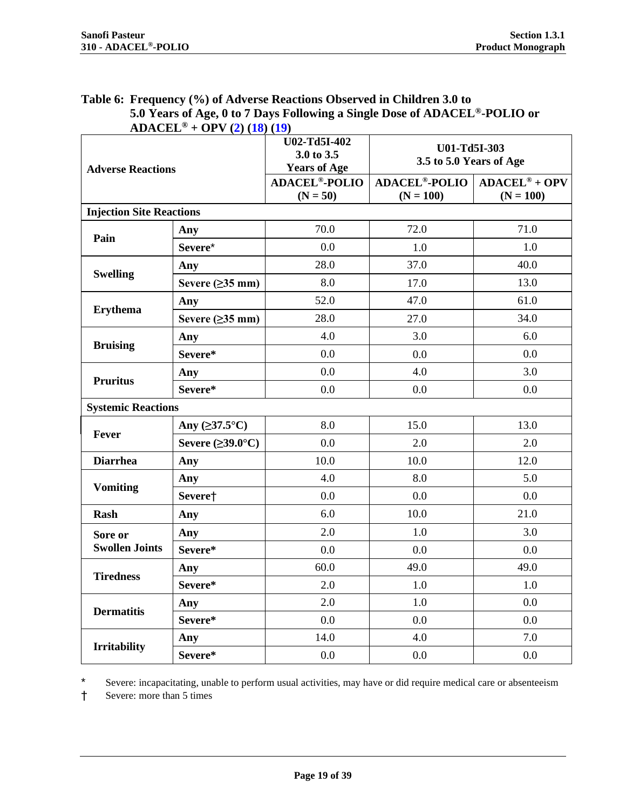<span id="page-18-0"></span>

| Table 6: Frequency (%) of Adverse Reactions Observed in Children 3.0 to                |
|----------------------------------------------------------------------------------------|
| 5.0 Years of Age, 0 to 7 Days Following a Single Dose of ADACEL <sup>®</sup> -POLIO or |
| $ADACEL^{\circ} + OPV (2) (18) (19)$                                                   |

<span id="page-18-1"></span>

| <b>Adverse Reactions</b>        |                               | U02-Td5I-402<br>3.0 to 3.5<br><b>Years of Age</b> | U01-Td5I-303<br>3.5 to 5.0 Years of Age        |                                       |
|---------------------------------|-------------------------------|---------------------------------------------------|------------------------------------------------|---------------------------------------|
|                                 |                               | <b>ADACEL<sup>®</sup>-POLIO</b><br>$(N = 50)$     | <b>ADACEL<sup>®</sup>-POLIO</b><br>$(N = 100)$ | $ADACEL^{\circ} + OPV$<br>$(N = 100)$ |
| <b>Injection Site Reactions</b> |                               |                                                   |                                                |                                       |
| Pain                            | Any                           | 70.0                                              | 72.0                                           | 71.0                                  |
|                                 | Severe*                       | 0.0                                               | 1.0                                            | 1.0                                   |
|                                 | Any                           | 28.0                                              | 37.0                                           | 40.0                                  |
| <b>Swelling</b>                 | Severe $( \geq 35$ mm)        | 8.0                                               | 17.0                                           | 13.0                                  |
| <b>Erythema</b>                 | Any                           | 52.0                                              | 47.0                                           | 61.0                                  |
|                                 | Severe $(\geq)35$ mm)         | 28.0                                              | 27.0                                           | 34.0                                  |
|                                 | Any                           | 4.0                                               | 3.0                                            | 6.0                                   |
| <b>Bruising</b>                 | Severe*                       | 0.0                                               | 0.0                                            | 0.0                                   |
| <b>Pruritus</b>                 | Any                           | 0.0                                               | 4.0                                            | 3.0                                   |
|                                 | Severe*                       | 0.0                                               | 0.0                                            | 0.0                                   |
| <b>Systemic Reactions</b>       |                               |                                                   |                                                |                                       |
|                                 | Any $( \geq 37.5^{\circ}C)$   | 8.0                                               | 15.0                                           | 13.0                                  |
| Fever                           | Severe $(\geq 39.0^{\circ}C)$ | 0.0                                               | 2.0                                            | 2.0                                   |
| <b>Diarrhea</b>                 | Any                           | 10.0                                              | 10.0                                           | 12.0                                  |
|                                 | Any                           | 4.0                                               | 8.0                                            | 5.0                                   |
| <b>Vomiting</b>                 | Severe†                       | 0.0                                               | 0.0                                            | 0.0                                   |
| <b>Rash</b>                     | Any                           | 6.0                                               | 10.0                                           | 21.0                                  |
| Sore or                         | Any                           | 2.0                                               | 1.0                                            | 3.0                                   |
| <b>Swollen Joints</b>           | Severe*                       | 0.0                                               | 0.0                                            | 0.0                                   |
|                                 | Any                           | 60.0                                              | 49.0                                           | 49.0                                  |
| <b>Tiredness</b>                | Severe*                       | 2.0                                               | 1.0                                            | 1.0                                   |
| <b>Dermatitis</b>               | Any                           | 2.0                                               | 1.0                                            | 0.0                                   |
|                                 | Severe*                       | 0.0                                               | 0.0                                            | 0.0                                   |
|                                 | Any                           | 14.0                                              | 4.0                                            | 7.0                                   |
| <b>Irritability</b>             | Severe*                       | 0.0                                               | 0.0                                            | 0.0                                   |

\* Severe: incapacitating, unable to perform usual activities, may have or did require medical care or absenteeism

† Severe: more than 5 times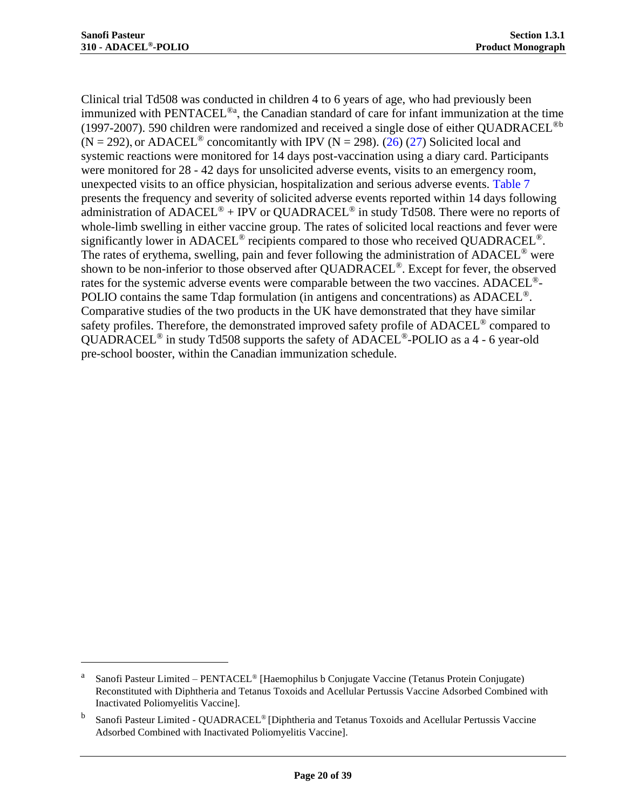Clinical trial Td508 was conducted in children 4 to 6 years of age, who had previously been immunized with PENTACEL<sup>®a</sup>, the Canadian standard of care for infant immunization at the time (1997-2007). 590 children were randomized and received a single dose of either QUADRACEL<sup>®b</sup>  $(N = 292)$ , or ADACEL<sup>®</sup> concomitantly with IPV  $(N = 298)$ . [\(26\)](#page-33-10) [\(27\)](#page-33-11) Solicited local and systemic reactions were monitored for 14 days post-vaccination using a diary card. Participants were monitored for 28 - 42 days for unsolicited adverse events, visits to an emergency room, unexpected visits to an office physician, hospitalization and serious adverse events. [Table 7](#page-20-0) presents the frequency and severity of solicited adverse events reported within 14 days following administration of ADACEL<sup>®</sup> + IPV or QUADRACEL<sup>®</sup> in study Td508. There were no reports of whole-limb swelling in either vaccine group. The rates of solicited local reactions and fever were significantly lower in ADACEL<sup>®</sup> recipients compared to those who received QUADRACEL<sup>®</sup>. The rates of erythema, swelling, pain and fever following the administration of ADACEL<sup>®</sup> were shown to be non-inferior to those observed after QUADRACEL<sup>®</sup>. Except for fever, the observed rates for the systemic adverse events were comparable between the two vaccines. ADACEL<sup>®</sup>-POLIO contains the same Tdap formulation (in antigens and concentrations) as ADACEL<sup>®</sup>. Comparative studies of the two products in the UK have demonstrated that they have similar safety profiles. Therefore, the demonstrated improved safety profile of ADACEL® compared to QUADRACEL® in study Td508 supports the safety of ADACEL®-POLIO as a 4 - 6 year-old pre-school booster, within the Canadian immunization schedule.

a Sanofi Pasteur Limited – PENTACEL® [Haemophilus b Conjugate Vaccine (Tetanus Protein Conjugate) Reconstituted with Diphtheria and Tetanus Toxoids and Acellular Pertussis Vaccine Adsorbed Combined with Inactivated Poliomyelitis Vaccine].

b Sanofi Pasteur Limited - QUADRACEL® [Diphtheria and Tetanus Toxoids and Acellular Pertussis Vaccine Adsorbed Combined with Inactivated Poliomyelitis Vaccine].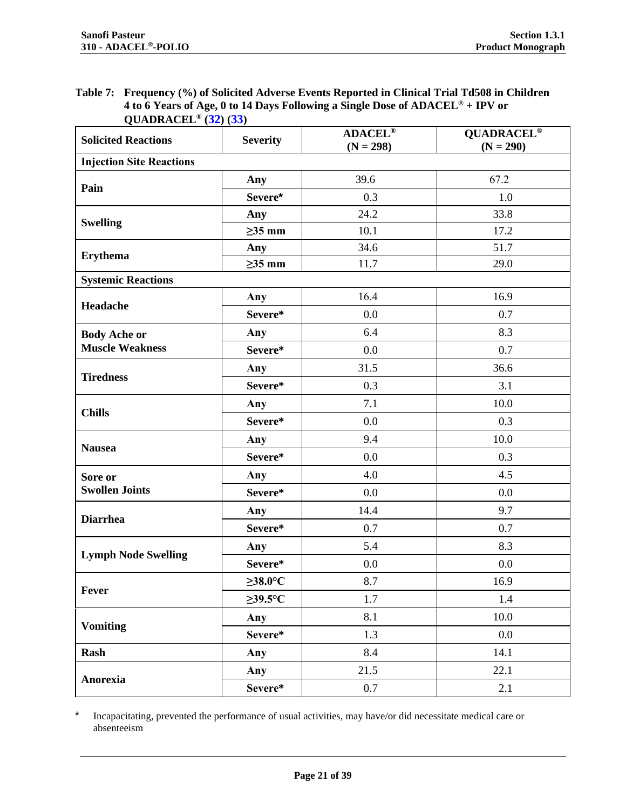#### <span id="page-20-0"></span>**Table 7: Frequency (%) of Solicited Adverse Events Reported in Clinical Trial Td508 in Children 4 to 6 Years of Age, 0 to 14 Days Following a Single Dose of ADACEL® + IPV or QUADRACEL® ([32](#page-34-0)) ([33](#page-34-1))**

<span id="page-20-1"></span>

| <b>Solicited Reactions</b>      | <b>Severity</b> | <b>ADACEL®</b><br>$(N = 298)$ | <b>QUADRACEL®</b><br>$(N = 290)$ |  |
|---------------------------------|-----------------|-------------------------------|----------------------------------|--|
| <b>Injection Site Reactions</b> |                 |                               |                                  |  |
|                                 | Any             | 39.6                          | 67.2                             |  |
| Pain                            | Severe*         | 0.3                           | 1.0                              |  |
|                                 | Any             | 24.2                          | 33.8                             |  |
| <b>Swelling</b>                 | $\geq$ 35 mm    | 10.1                          | 17.2                             |  |
|                                 | Any             | 34.6                          | 51.7                             |  |
| <b>Erythema</b>                 | $\geq$ 35 mm    | 11.7                          | 29.0                             |  |
| <b>Systemic Reactions</b>       |                 |                               |                                  |  |
| Headache                        | Any             | 16.4                          | 16.9                             |  |
|                                 | Severe*         | 0.0                           | 0.7                              |  |
| <b>Body Ache or</b>             | Any             | 6.4                           | 8.3                              |  |
| <b>Muscle Weakness</b>          | Severe*         | 0.0                           | 0.7                              |  |
|                                 | Any             | 31.5                          | 36.6                             |  |
| <b>Tiredness</b>                | Severe*         | 0.3                           | 3.1                              |  |
|                                 | Any             | 7.1                           | 10.0                             |  |
| <b>Chills</b>                   | Severe*         | 0.0                           | 0.3                              |  |
|                                 | Any             | 9.4                           | 10.0                             |  |
| <b>Nausea</b>                   | Severe*         | 0.0                           | 0.3                              |  |
| Sore or                         | Any             | 4.0                           | 4.5                              |  |
| <b>Swollen Joints</b>           | Severe*         | 0.0                           | 0.0                              |  |
|                                 | Any             | 14.4                          | 9.7                              |  |
| <b>Diarrhea</b>                 | Severe*         | 0.7                           | 0.7                              |  |
|                                 | Any             | 5.4                           | 8.3                              |  |
| <b>Lymph Node Swelling</b>      | Severe*         | 0.0                           | 0.0                              |  |
|                                 | $\geq$ 38.0°C   | 8.7                           | 16.9                             |  |
| Fever                           | $\geq$ 39.5°C   | 1.7                           | 1.4                              |  |
|                                 | Any             | 8.1                           | 10.0                             |  |
| <b>Vomiting</b>                 | Severe*         | 1.3                           | 0.0                              |  |
| <b>Rash</b>                     | Any             | 8.4                           | 14.1                             |  |
|                                 | Any             | 21.5                          | 22.1                             |  |
| Anorexia                        | Severe*         | 0.7                           | 2.1                              |  |

\* Incapacitating, prevented the performance of usual activities, may have/or did necessitate medical care or absenteeism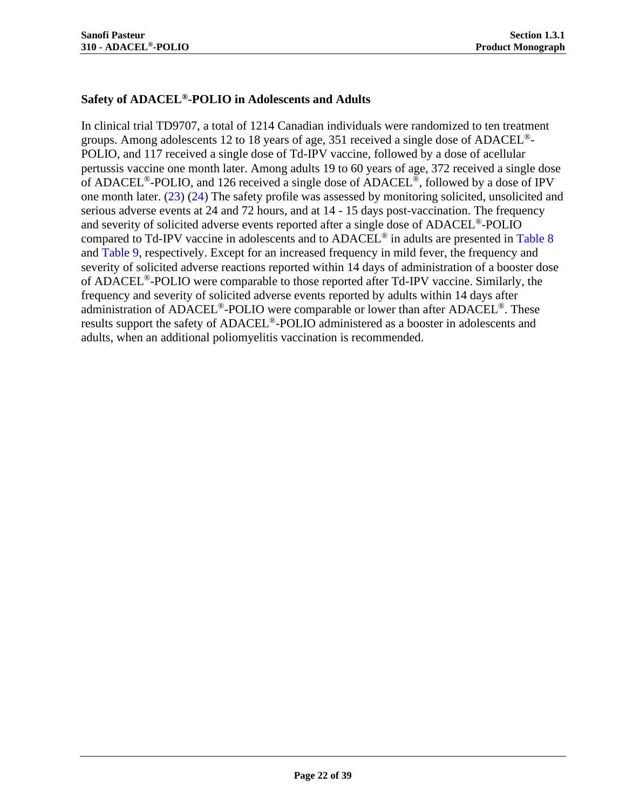## **Safety of ADACEL®-POLIO in Adolescents and Adults**

In clinical trial TD9707, a total of 1214 Canadian individuals were randomized to ten treatment groups. Among adolescents 12 to 18 years of age, 351 received a single dose of ADACEL<sup>®</sup>-POLIO, and 117 received a single dose of Td-IPV vaccine, followed by a dose of acellular pertussis vaccine one month later. Among adults 19 to 60 years of age, 372 received a single dose of ADACEL®-POLIO, and 126 received a single dose of ADACEL®, followed by a dose of IPV one month later. [\(23\)](#page-33-7) [\(24\)](#page-33-8) The safety profile was assessed by monitoring solicited, unsolicited and serious adverse events at 24 and 72 hours, and at 14 - 15 days post-vaccination. The frequency and severity of solicited adverse events reported after a single dose of ADACEL<sup>®</sup>-POLIO compared to Td-IPV vaccine in adolescents and to  $ADACEL^{\circledast}$  in adults are presented in [Table 8](#page-22-0) and [Table 9,](#page-23-0) respectively. Except for an increased frequency in mild fever, the frequency and severity of solicited adverse reactions reported within 14 days of administration of a booster dose of ADACEL®-POLIO were comparable to those reported after Td-IPV vaccine. Similarly, the frequency and severity of solicited adverse events reported by adults within 14 days after administration of ADACEL<sup>®</sup>-POLIO were comparable or lower than after ADACEL<sup>®</sup>. These results support the safety of ADACEL®-POLIO administered as a booster in adolescents and adults, when an additional poliomyelitis vaccination is recommended.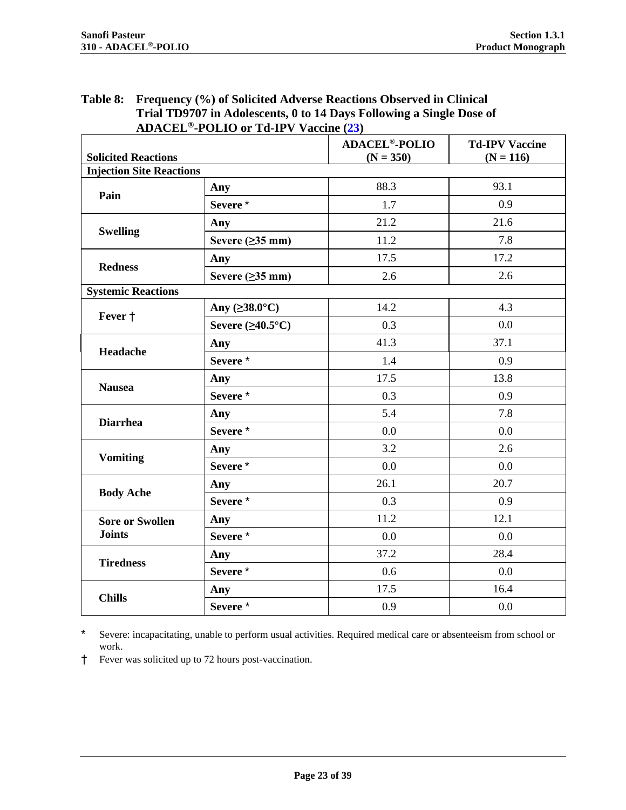<span id="page-22-1"></span>

| <b>ADACEL<sup>®</sup>-POLIO</b> or Td-IPV Vaccine (23)<br><b>Solicited Reactions</b><br><b>Injection Site Reactions</b><br>Any<br>Pain<br>Severe*<br>Any<br><b>Swelling</b><br>Severe $(\geq)$ 35 mm)<br>Any<br><b>Redness</b><br>Severe $(\geq)35$ mm)<br><b>Systemic Reactions</b><br>Any $( \geq 38.0^{\circ} \text{C})$<br>Fever +<br>Severe $(\geq 40.5^{\circ}C)$<br>Any | <b>ADACEL<sup>®</sup>-POLIO</b><br>$(N = 350)$ | <b>Td-IPV Vaccine</b> |
|--------------------------------------------------------------------------------------------------------------------------------------------------------------------------------------------------------------------------------------------------------------------------------------------------------------------------------------------------------------------------------|------------------------------------------------|-----------------------|
|                                                                                                                                                                                                                                                                                                                                                                                |                                                | $(N = 116)$           |
|                                                                                                                                                                                                                                                                                                                                                                                |                                                |                       |
|                                                                                                                                                                                                                                                                                                                                                                                | 88.3                                           | 93.1                  |
|                                                                                                                                                                                                                                                                                                                                                                                | 1.7                                            | 0.9                   |
|                                                                                                                                                                                                                                                                                                                                                                                | 21.2                                           | 21.6                  |
|                                                                                                                                                                                                                                                                                                                                                                                | 11.2                                           | 7.8                   |
|                                                                                                                                                                                                                                                                                                                                                                                | 17.5                                           | 17.2                  |
|                                                                                                                                                                                                                                                                                                                                                                                | 2.6                                            | 2.6                   |
|                                                                                                                                                                                                                                                                                                                                                                                |                                                |                       |
|                                                                                                                                                                                                                                                                                                                                                                                | 14.2                                           | 4.3                   |
|                                                                                                                                                                                                                                                                                                                                                                                | 0.3                                            | 0.0                   |
|                                                                                                                                                                                                                                                                                                                                                                                | 41.3                                           | 37.1                  |
| Headache<br>Severe <sup>*</sup>                                                                                                                                                                                                                                                                                                                                                | 1.4                                            | 0.9                   |
| Any                                                                                                                                                                                                                                                                                                                                                                            | 17.5                                           | 13.8                  |
| <b>Nausea</b><br>Severe <sup>*</sup>                                                                                                                                                                                                                                                                                                                                           | 0.3                                            | 0.9                   |
| Any<br><b>Diarrhea</b>                                                                                                                                                                                                                                                                                                                                                         | 5.4                                            | 7.8                   |
| Severe <sup>*</sup>                                                                                                                                                                                                                                                                                                                                                            | 0.0                                            | 0.0                   |
| Any<br><b>Vomiting</b>                                                                                                                                                                                                                                                                                                                                                         | 3.2                                            | 2.6                   |
| Severe*                                                                                                                                                                                                                                                                                                                                                                        | 0.0                                            | 0.0                   |
| Any<br><b>Body Ache</b>                                                                                                                                                                                                                                                                                                                                                        | 26.1                                           | 20.7                  |
| Severe*                                                                                                                                                                                                                                                                                                                                                                        | 0.3                                            | 0.9                   |
| Any<br><b>Sore or Swollen</b>                                                                                                                                                                                                                                                                                                                                                  | 11.2                                           | 12.1                  |
| <b>Joints</b><br>Severe*                                                                                                                                                                                                                                                                                                                                                       | 0.0                                            | 0.0                   |
| Any                                                                                                                                                                                                                                                                                                                                                                            | 37.2                                           | 28.4                  |
| <b>Tiredness</b><br>Severe*                                                                                                                                                                                                                                                                                                                                                    | 0.6                                            | 0.0                   |
| Any<br><b>Chills</b>                                                                                                                                                                                                                                                                                                                                                           | 17.5                                           |                       |
| Severe*                                                                                                                                                                                                                                                                                                                                                                        |                                                | 16.4                  |

# <span id="page-22-0"></span>**Table 8: Frequency (%) of Solicited Adverse Reactions Observed in Clinical**

\* Severe: incapacitating, unable to perform usual activities. Required medical care or absenteeism from school or work.

† Fever was solicited up to 72 hours post-vaccination.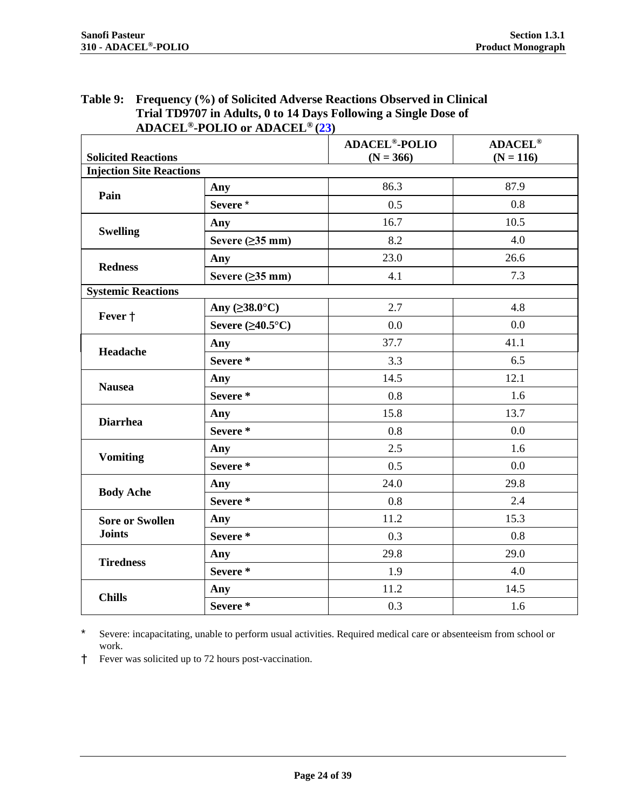<span id="page-23-1"></span>

| Trial TD9707 in Adults, 0 to 14 Days Following a Single Dose of<br><b>ADACEL<sup>®</sup>-POLIO</b> or ADACEL <sup>®</sup> (23) |                                     |                                                |                               |  |
|--------------------------------------------------------------------------------------------------------------------------------|-------------------------------------|------------------------------------------------|-------------------------------|--|
| <b>Solicited Reactions</b>                                                                                                     |                                     | <b>ADACEL<sup>®</sup>-POLIO</b><br>$(N = 366)$ | <b>ADACEL®</b><br>$(N = 116)$ |  |
| <b>Injection Site Reactions</b>                                                                                                |                                     |                                                |                               |  |
| Pain                                                                                                                           | Any                                 | 86.3                                           | 87.9                          |  |
|                                                                                                                                | Severe*                             | 0.5                                            | 0.8                           |  |
| <b>Swelling</b>                                                                                                                | Any                                 | 16.7                                           | 10.5                          |  |
|                                                                                                                                | Severe $(\geq)35$ mm)               | 8.2                                            | 4.0                           |  |
| <b>Redness</b>                                                                                                                 | Any                                 | 23.0                                           | 26.6                          |  |
|                                                                                                                                | Severe $(\geq)$ 35 mm)              | 4.1                                            | 7.3                           |  |
| <b>Systemic Reactions</b>                                                                                                      |                                     |                                                |                               |  |
| Fever $\dagger$                                                                                                                | Any $( \geq 38.0^{\circ} \text{C})$ | 2.7                                            | 4.8                           |  |
|                                                                                                                                | Severe $(\geq 40.5^{\circ}C)$       | 0.0                                            | 0.0                           |  |
| Headache                                                                                                                       | Any                                 | 37.7                                           | 41.1                          |  |
|                                                                                                                                | Severe*                             | 3.3                                            | 6.5                           |  |
| <b>Nausea</b>                                                                                                                  | Any                                 | 14.5                                           | 12.1                          |  |
|                                                                                                                                | Severe*                             | 0.8                                            | 1.6                           |  |
| <b>Diarrhea</b>                                                                                                                | Any                                 | 15.8                                           | 13.7                          |  |
|                                                                                                                                | Severe*                             | 0.8                                            | 0.0                           |  |
| <b>Vomiting</b>                                                                                                                | Any                                 | 2.5                                            | 1.6                           |  |
|                                                                                                                                | Severe*                             | 0.5                                            | 0.0                           |  |
| <b>Body Ache</b>                                                                                                               | Any                                 | 24.0                                           | 29.8                          |  |
|                                                                                                                                | Severe*                             | 0.8                                            | 2.4                           |  |
| <b>Sore or Swollen</b>                                                                                                         | Any                                 | 11.2                                           | 15.3                          |  |
| <b>Joints</b>                                                                                                                  | Severe*                             | 0.3                                            | 0.8                           |  |
| <b>Tiredness</b>                                                                                                               | Any                                 | 29.8                                           | 29.0                          |  |
|                                                                                                                                | Severe*                             | 1.9                                            | 4.0                           |  |
| <b>Chills</b>                                                                                                                  | Any                                 | 11.2                                           | 14.5                          |  |
|                                                                                                                                | Severe*                             | 0.3                                            | 1.6                           |  |

# <span id="page-23-0"></span>**Table 9: Frequency (%) of Solicited Adverse Reactions Observed in Clinical**

\* Severe: incapacitating, unable to perform usual activities. Required medical care or absenteeism from school or work.

† Fever was solicited up to 72 hours post-vaccination.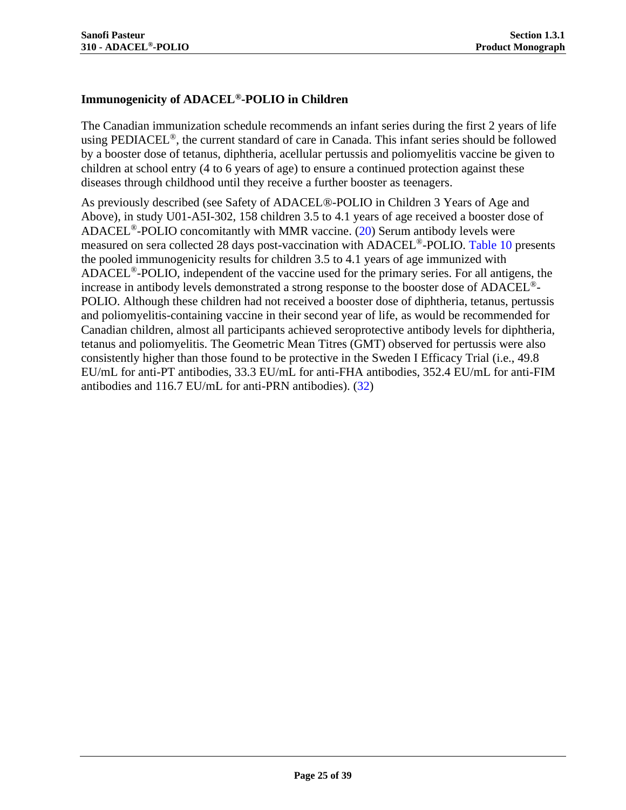## **Immunogenicity of ADACEL®-POLIO in Children**

The Canadian immunization schedule recommends an infant series during the first 2 years of life using PEDIACEL<sup>®</sup>, the current standard of care in Canada. This infant series should be followed by a booster dose of tetanus, diphtheria, acellular pertussis and poliomyelitis vaccine be given to children at school entry (4 to 6 years of age) to ensure a continued protection against these diseases through childhood until they receive a further booster as teenagers.

As previously described (see [Safety of ADACEL®-POLIO in Children 3 Years of Age and](#page-16-0)  [Above\)](#page-16-0), in study U01-A5I-302, 158 children 3.5 to 4.1 years of age received a booster dose of ADACEL<sup>®</sup>-POLIO concomitantly with MMR vaccine.  $(20)$  Serum antibody levels were measured on sera collected 28 days post-vaccination with ADACEL<sup>®</sup>-POLIO. [Table 10](#page-25-0) presents the pooled immunogenicity results for children 3.5 to 4.1 years of age immunized with ADACEL®-POLIO, independent of the vaccine used for the primary series. For all antigens, the increase in antibody levels demonstrated a strong response to the booster dose of ADACEL®- POLIO. Although these children had not received a booster dose of diphtheria, tetanus, pertussis and poliomyelitis-containing vaccine in their second year of life, as would be recommended for Canadian children, almost all participants achieved seroprotective antibody levels for diphtheria, tetanus and poliomyelitis. The Geometric Mean Titres (GMT) observed for pertussis were also consistently higher than those found to be protective in the Sweden I Efficacy Trial (i.e., 49.8 EU/mL for anti-PT antibodies, 33.3 EU/mL for anti-FHA antibodies, 352.4 EU/mL for anti-FIM antibodies and 116.7 EU/mL for anti-PRN antibodies). [\(32\)](#page-34-0)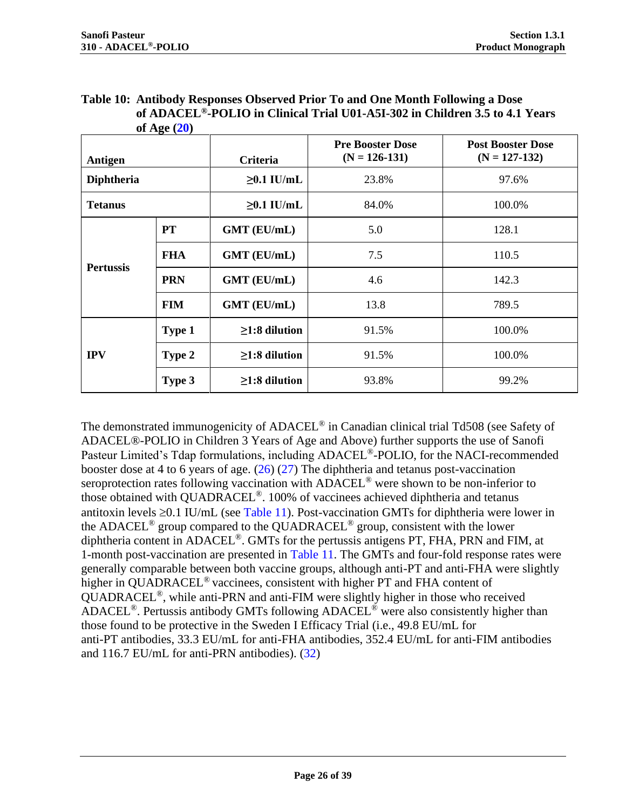<span id="page-25-0"></span>

| Table 10: Antibody Responses Observed Prior To and One Month Following a Dose            |
|------------------------------------------------------------------------------------------|
| of ADACEL <sup>®</sup> -POLIO in Clinical Trial U01-A5I-302 in Children 3.5 to 4.1 Years |
| of Age $(20)$                                                                            |

| Antigen          |            | Criteria            | <b>Pre Booster Dose</b><br>$(N = 126 - 131)$ | <b>Post Booster Dose</b><br>$(N = 127 - 132)$ |  |
|------------------|------------|---------------------|----------------------------------------------|-----------------------------------------------|--|
| Diphtheria       |            | $\geq 0.1$ IU/mL    | 23.8%                                        | 97.6%                                         |  |
| <b>Tetanus</b>   |            | $\geq 0.1$ IU/mL    | 84.0%                                        | 100.0%                                        |  |
|                  | <b>PT</b>  | <b>GMT</b> (EU/mL)  | 5.0                                          | 128.1                                         |  |
| <b>Pertussis</b> | <b>FHA</b> | <b>GMT</b> (EU/mL)  | 7.5                                          | 110.5                                         |  |
|                  | <b>PRN</b> | <b>GMT</b> (EU/mL)  | $4.6^{\circ}$                                | 142.3                                         |  |
|                  | <b>FIM</b> | <b>GMT</b> (EU/mL)  | 13.8                                         | 789.5                                         |  |
|                  | Type 1     | $\geq$ 1:8 dilution | 91.5%                                        | 100.0%                                        |  |
| <b>IPV</b>       | Type 2     | $\geq$ 1:8 dilution | 91.5%                                        | 100.0%                                        |  |
|                  | Type 3     | $\geq$ 1:8 dilution | 93.8%                                        | 99.2%                                         |  |

The demonstrated immunogenicity of ADACEL<sup>®</sup> in Canadian clinical trial Td508 (see Safety of [ADACEL®-POLIO in Children 3 Years of Age and Above\)](#page-16-0) further supports the use of Sanofi Pasteur Limited's Tdap formulations, including ADACEL<sup>®</sup>-POLIO, for the NACI-recommended booster dose at 4 to 6 years of age. [\(26\)](#page-33-10) [\(27\)](#page-33-11) The diphtheria and tetanus post-vaccination seroprotection rates following vaccination with ADACEL<sup>®</sup> were shown to be non-inferior to those obtained with QUADRACEL®. 100% of vaccinees achieved diphtheria and tetanus antitoxin levels  $\geq 0.1$  IU/mL (see [Table 11\)](#page-26-0). Post-vaccination GMTs for diphtheria were lower in the ADACEL® group compared to the QUADRACEL® group, consistent with the lower diphtheria content in  $ADACEL^{\otimes}$ . GMTs for the pertussis antigens PT, FHA, PRN and FIM, at 1-month post-vaccination are presented in [Table 11.](#page-26-0) The GMTs and four-fold response rates were generally comparable between both vaccine groups, although anti-PT and anti-FHA were slightly higher in QUADRACEL<sup>®</sup> vaccinees, consistent with higher PT and FHA content of QUADRACEL®, while anti-PRN and anti-FIM were slightly higher in those who received ADACEL®. Pertussis antibody GMTs following ADACEL® were also consistently higher than those found to be protective in the Sweden I Efficacy Trial (i.e., 49.8 EU/mL for anti-PT antibodies, 33.3 EU/mL for anti-FHA antibodies, 352.4 EU/mL for anti-FIM antibodies and 116.7 EU/mL for anti-PRN antibodies). [\(32\)](#page-34-0)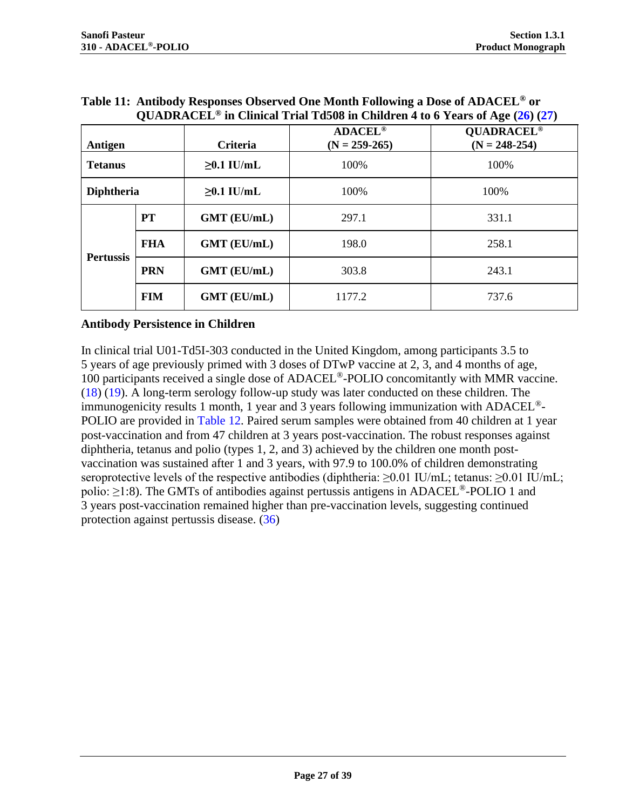|                   | QUADRACEL <sup>®</sup> in Clinical Trial Td508 in Children 4 to 6 Years of Age $(26)$ $(27)$ |                    |                                     |                                      |  |  |
|-------------------|----------------------------------------------------------------------------------------------|--------------------|-------------------------------------|--------------------------------------|--|--|
| Antigen           |                                                                                              | Criteria           | <b>ADACEL®</b><br>$(N = 259 - 265)$ | <b>QUADRACEL®</b><br>$(N = 248-254)$ |  |  |
| <b>Tetanus</b>    |                                                                                              | $\geq 0.1$ IU/mL   | 100%                                | 100%                                 |  |  |
| <b>Diphtheria</b> |                                                                                              | $\geq 0.1$ IU/mL   | 100%                                | 100%                                 |  |  |
|                   | <b>PT</b>                                                                                    | <b>GMT (EU/mL)</b> | 297.1                               | 331.1                                |  |  |
|                   | <b>FHA</b>                                                                                   | <b>GMT (EU/mL)</b> | 198.0                               | 258.1                                |  |  |
| <b>Pertussis</b>  |                                                                                              |                    |                                     |                                      |  |  |

**PRN GMT (EU/mL)** 303.8 243.1

**FIM GMT (EU/mL)** 1177.2 1737.6

<span id="page-26-0"></span>**Table 11: Antibody Responses Observed One Month Following a Dose of ADACEL® or** 

#### **Antibody Persistence in Children**

In clinical trial U01-Td5I-303 conducted in the United Kingdom, among participants 3.5 to 5 years of age previously primed with 3 doses of DTwP vaccine at 2, 3, and 4 months of age, 100 participants received a single dose of ADACEL®-POLIO concomitantly with MMR vaccine. [\(18\)](#page-32-13) [\(19\).](#page-33-3) A long-term serology follow-up study was later conducted on these children. The immunogenicity results 1 month, 1 year and 3 years following immunization with  $ADACEL^{\circledast}$ -POLIO are provided in [Table 12.](#page-27-0) Paired serum samples were obtained from 40 children at 1 year post-vaccination and from 47 children at 3 years post-vaccination. The robust responses against diphtheria, tetanus and polio (types 1, 2, and 3) achieved by the children one month postvaccination was sustained after 1 and 3 years, with 97.9 to 100.0% of children demonstrating seroprotective levels of the respective antibodies (diphtheria:  $\geq 0.01$  IU/mL; tetanus:  $\geq 0.01$  IU/mL; polio:  $\geq$ 1:8). The GMTs of antibodies against pertussis antigens in ADACEL<sup>®</sup>-POLIO 1 and 3 years post-vaccination remained higher than pre-vaccination levels, suggesting continued protection against pertussis disease. [\(36\)](#page-34-6)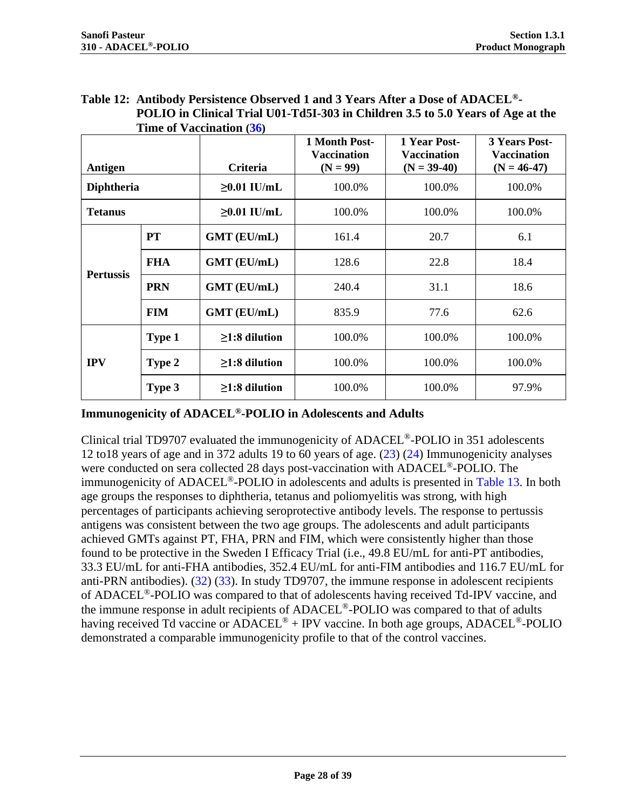<span id="page-27-0"></span>

| Table 12: Antibody Persistence Observed 1 and 3 Years After a Dose of ADACEL <sup>®</sup> - |
|---------------------------------------------------------------------------------------------|
| POLIO in Clinical Trial U01-Td5I-303 in Children 3.5 to 5.0 Years of Age at the             |
| <b>Time of Vaccination (36)</b>                                                             |

|                   |            |                     | 1 Month Post-<br><b>Vaccination</b> | 1 Year Post-<br><b>Vaccination</b> | <b>3 Years Post-</b><br><b>Vaccination</b> |
|-------------------|------------|---------------------|-------------------------------------|------------------------------------|--------------------------------------------|
| Antigen           |            | <b>Criteria</b>     | $(N = 99)$                          | $(N = 39-40)$                      | $(N = 46-47)$                              |
| <b>Diphtheria</b> |            | $\geq 0.01$ IU/mL   | 100.0%                              | 100.0%                             | 100.0%                                     |
| <b>Tetanus</b>    |            | $\geq 0.01$ IU/mL   | 100.0%                              | 100.0%                             | 100.0%                                     |
|                   | <b>PT</b>  | <b>GMT</b> (EU/mL)  | 161.4                               | 20.7                               | 6.1                                        |
|                   | <b>FHA</b> | <b>GMT</b> (EU/mL)  | 128.6                               | 22.8                               | 18.4                                       |
| <b>Pertussis</b>  | <b>PRN</b> | <b>GMT</b> (EU/mL)  | 240.4                               | 31.1                               | 18.6                                       |
|                   | <b>FIM</b> | <b>GMT</b> (EU/mL)  | 835.9                               | 77.6                               | 62.6                                       |
| <b>IPV</b>        | Type 1     | $\geq$ 1:8 dilution | 100.0%                              | 100.0%                             | 100.0%                                     |
|                   | Type 2     | $\geq$ 1:8 dilution | 100.0%                              | 100.0%                             | 100.0%                                     |
|                   | Type 3     | $\geq$ 1:8 dilution | 100.0%                              | 100.0%                             | 97.9%                                      |

#### **Immunogenicity of ADACEL®-POLIO in Adolescents and Adults**

Clinical trial TD9707 evaluated the immunogenicity of ADACEL®-POLIO in 351 adolescents 12 to18 years of age and in 372 adults 19 to 60 years of age. [\(23\)](#page-33-7) [\(24\)](#page-33-8) Immunogenicity analyses were conducted on sera collected 28 days post-vaccination with ADACEL<sup>®</sup>-POLIO. The immunogenicity of ADACEL®-POLIO in adolescents and adults is presented in [Table 13.](#page-28-0) In both age groups the responses to diphtheria, tetanus and poliomyelitis was strong, with high percentages of participants achieving seroprotective antibody levels. The response to pertussis antigens was consistent between the two age groups. The adolescents and adult participants achieved GMTs against PT, FHA, PRN and FIM, which were consistently higher than those found to be protective in the Sweden I Efficacy Trial (i.e., 49.8 EU/mL for anti-PT antibodies, 33.3 EU/mL for anti-FHA antibodies, 352.4 EU/mL for anti-FIM antibodies and 116.7 EU/mL for anti-PRN antibodies). [\(32\)](#page-34-0) [\(33\).](#page-34-1) In study TD9707, the immune response in adolescent recipients of ADACEL®-POLIO was compared to that of adolescents having received Td-IPV vaccine, and the immune response in adult recipients of ADACEL®-POLIO was compared to that of adults having received Td vaccine or ADACEL<sup>®</sup> + IPV vaccine. In both age groups, ADACEL<sup>®</sup>-POLIO demonstrated a comparable immunogenicity profile to that of the control vaccines.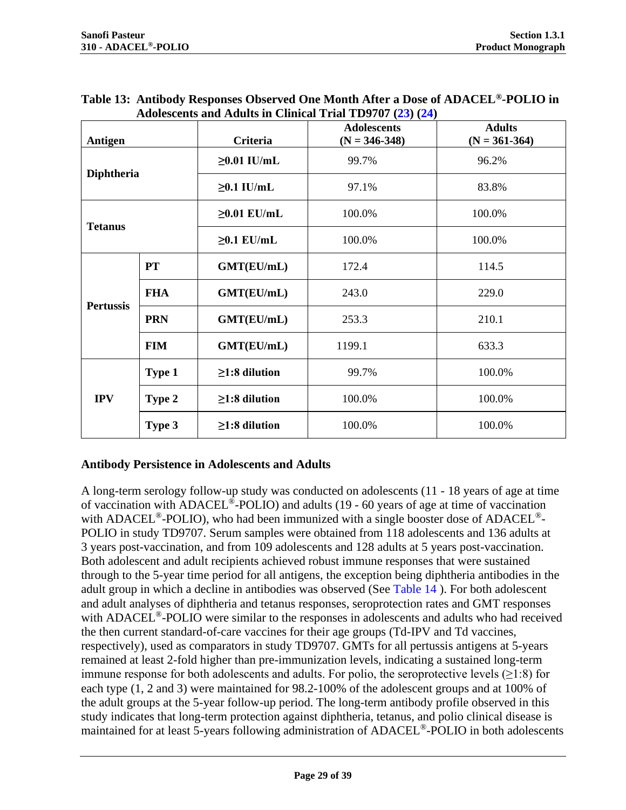| Antigen          |            | Criteria            | <b>Adolescents</b><br>$(N = 346 - 348)$ | <b>Adults</b><br>$(N = 361-364)$ |  |
|------------------|------------|---------------------|-----------------------------------------|----------------------------------|--|
| Diphtheria       |            | $\geq 0.01$ IU/mL   | 99.7%                                   | 96.2%                            |  |
|                  |            | $\geq 0.1$ IU/mL    | 97.1%                                   | 83.8%                            |  |
| <b>Tetanus</b>   |            | $\geq 0.01$ EU/mL   | 100.0%                                  | 100.0%                           |  |
|                  |            | $\geq 0.1$ EU/mL    | 100.0%                                  | 100.0%                           |  |
|                  | PT         | GMT(EU/mL)          | 172.4                                   | 114.5                            |  |
|                  | <b>FHA</b> | GMT(EU/mL)          | 243.0                                   | 229.0                            |  |
| <b>Pertussis</b> | <b>PRN</b> | GMT(EU/mL)          | 253.3                                   | 210.1                            |  |
|                  | <b>FIM</b> | GMT(EU/mL)          | 1199.1                                  | 633.3                            |  |
| <b>IPV</b>       | Type 1     | $\geq$ 1:8 dilution | 99.7%                                   | 100.0%                           |  |
|                  | Type 2     | $\geq$ 1:8 dilution | 100.0%                                  | 100.0%                           |  |
|                  | Type 3     | $\geq$ 1:8 dilution | 100.0%                                  | 100.0%                           |  |

<span id="page-28-0"></span>

| Table 13: Antibody Responses Observed One Month After a Dose of ADACEL®-POLIO in |
|----------------------------------------------------------------------------------|
| Adolescents and Adults in Clinical Trial TD9707 (23) (24)                        |

#### **Antibody Persistence in Adolescents and Adults**

A long-term serology follow-up study was conducted on adolescents (11 - 18 years of age at time of vaccination with ADACEL®-POLIO) and adults (19 - 60 years of age at time of vaccination with ADACEL<sup>®</sup>-POLIO), who had been immunized with a single booster dose of ADACEL<sup>®</sup>-POLIO in study TD9707. Serum samples were obtained from 118 adolescents and 136 adults at 3 years post-vaccination, and from 109 adolescents and 128 adults at 5 years post-vaccination. Both adolescent and adult recipients achieved robust immune responses that were sustained through to the 5-year time period for all antigens, the exception being diphtheria antibodies in the adult group in which a decline in antibodies was observed (See [Table 14](#page-29-1) ). For both adolescent and adult analyses of diphtheria and tetanus responses, seroprotection rates and GMT responses with ADACEL<sup>®</sup>-POLIO were similar to the responses in adolescents and adults who had received the then current standard-of-care vaccines for their age groups (Td-IPV and Td vaccines, respectively), used as comparators in study TD9707. GMTs for all pertussis antigens at 5-years remained at least 2-fold higher than pre-immunization levels, indicating a sustained long-term immune response for both adolescents and adults. For polio, the seroprotective levels  $(\geq 1:8)$  for each type (1, 2 and 3) were maintained for 98.2-100% of the adolescent groups and at 100% of the adult groups at the 5-year follow-up period. The long-term antibody profile observed in this study indicates that long-term protection against diphtheria, tetanus, and polio clinical disease is maintained for at least 5-years following administration of ADACEL®-POLIO in both adolescents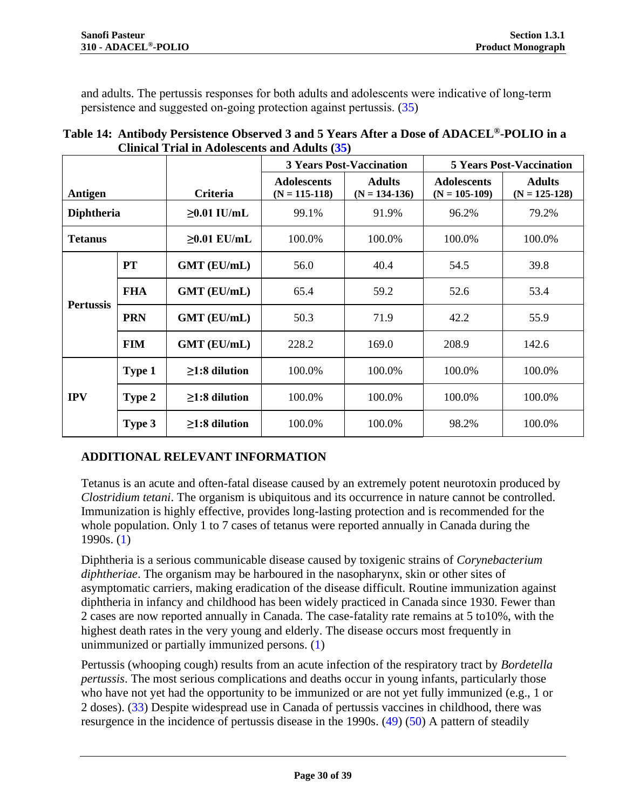and adults. The pertussis responses for both adults and adolescents were indicative of long-term persistence and suggested on-going protection against pertussis. [\(35\)](#page-34-7)

<span id="page-29-1"></span>

| Table 14: Antibody Persistence Observed 3 and 5 Years After a Dose of ADACEL <sup>®</sup> -POLIO in a |
|-------------------------------------------------------------------------------------------------------|
| Clinical Trial in Adolescents and Adults (35)                                                         |

|                   |            |                     | <b>3 Years Post-Vaccination</b>         |                                  | <b>5 Years Post-Vaccination</b>         |                                    |
|-------------------|------------|---------------------|-----------------------------------------|----------------------------------|-----------------------------------------|------------------------------------|
| Antigen           |            | Criteria            | <b>Adolescents</b><br>$(N = 115 - 118)$ | <b>Adults</b><br>$(N = 134-136)$ | <b>Adolescents</b><br>$(N = 105 - 109)$ | <b>Adults</b><br>$(N = 125 - 128)$ |
| <b>Diphtheria</b> |            | $\geq 0.01$ IU/mL   | 99.1%                                   | 91.9%                            | 96.2%                                   | 79.2%                              |
| <b>Tetanus</b>    |            | $\geq 0.01$ EU/mL   | 100.0%                                  | 100.0%                           | 100.0%                                  | 100.0%                             |
| <b>Pertussis</b>  | <b>PT</b>  | <b>GMT</b> (EU/mL)  | 56.0                                    | 40.4                             | 54.5                                    | 39.8                               |
|                   | <b>FHA</b> | <b>GMT</b> (EU/mL)  | 65.4                                    | 59.2                             | 52.6                                    | 53.4                               |
|                   | <b>PRN</b> | <b>GMT</b> (EU/mL)  | 50.3                                    | 71.9                             | 42.2                                    | 55.9                               |
|                   | <b>FIM</b> | <b>GMT</b> (EU/mL)  | 228.2                                   | 169.0                            | 208.9                                   | 142.6                              |
| <b>IPV</b>        | Type 1     | $\geq$ 1:8 dilution | 100.0%                                  | 100.0%                           | 100.0%                                  | 100.0%                             |
|                   | Type 2     | $\geq$ 1:8 dilution | 100.0%                                  | 100.0%                           | 100.0%                                  | 100.0%                             |
|                   | Type 3     | $\geq$ 1:8 dilution | 100.0%                                  | 100.0%                           | 98.2%                                   | 100.0%                             |

# <span id="page-29-0"></span>**ADDITIONAL RELEVANT INFORMATION**

Tetanus is an acute and often-fatal disease caused by an extremely potent neurotoxin produced by *Clostridium tetani*. The organism is ubiquitous and its occurrence in nature cannot be controlled. Immunization is highly effective, provides long-lasting protection and is recommended for the whole population. Only 1 to 7 cases of tetanus were reported annually in Canada during the 1990s. [\(1\)](#page-32-1)

Diphtheria is a serious communicable disease caused by toxigenic strains of *Corynebacterium diphtheriae*. The organism may be harboured in the nasopharynx, skin or other sites of asymptomatic carriers, making eradication of the disease difficult. Routine immunization against diphtheria in infancy and childhood has been widely practiced in Canada since 1930. Fewer than 2 cases are now reported annually in Canada. The case-fatality rate remains at 5 to10%, with the highest death rates in the very young and elderly. The disease occurs most frequently in unimmunized or partially immunized persons. [\(1\)](#page-32-1)

Pertussis (whooping cough) results from an acute infection of the respiratory tract by *Bordetella pertussis*. The most serious complications and deaths occur in young infants, particularly those who have not yet had the opportunity to be immunized or are not yet fully immunized (e.g., 1 or 2 doses). [\(33\)](#page-34-1) Despite widespread use in Canada of pertussis vaccines in childhood, there was resurgence in the incidence of pertussis disease in the 1990s. [\(49\)](#page-34-8) [\(50\)](#page-34-9) A pattern of steadily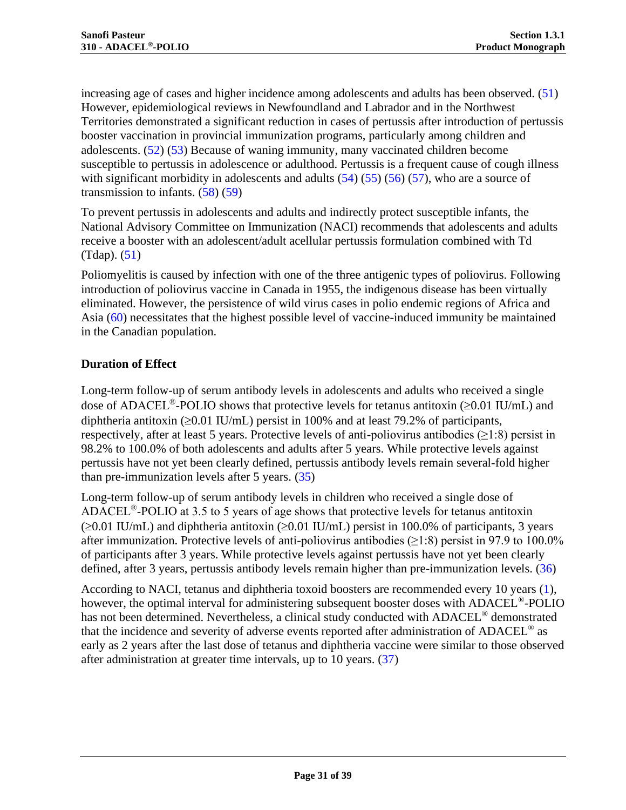increasing age of cases and higher incidence among adolescents and adults has been observed. [\(51\)](#page-34-10) However, epidemiological reviews in Newfoundland and Labrador and in the Northwest Territories demonstrated a significant reduction in cases of pertussis after introduction of pertussis booster vaccination in provincial immunization programs, particularly among children and adolescents. [\(52\)](#page-35-0) [\(53\)](#page-35-1) Because of waning immunity, many vaccinated children become susceptible to pertussis in adolescence or adulthood. Pertussis is a frequent cause of cough illness with significant morbidity in adolescents and adults  $(54)$   $(55)$   $(56)$   $(57)$ , who are a source of transmission to infants.  $(58)(59)$ 

To prevent pertussis in adolescents and adults and indirectly protect susceptible infants, the National Advisory Committee on Immunization (NACI) recommends that adolescents and adults receive a booster with an adolescent/adult acellular pertussis formulation combined with Td  $(Tdap)$ .  $(51)$ 

Poliomyelitis is caused by infection with one of the three antigenic types of poliovirus. Following introduction of poliovirus vaccine in Canada in 1955, the indigenous disease has been virtually eliminated. However, the persistence of wild virus cases in polio endemic regions of Africa and Asia [\(60\)](#page-35-8) necessitates that the highest possible level of vaccine-induced immunity be maintained in the Canadian population.

## **Duration of Effect**

Long-term follow-up of serum antibody levels in adolescents and adults who received a single dose of ADACEL<sup>®</sup>-POLIO shows that protective levels for tetanus antitoxin ( $\geq 0.01$  IU/mL) and diphtheria antitoxin ( $\geq 0.01$  IU/mL) persist in 100% and at least 79.2% of participants, respectively, after at least 5 years. Protective levels of anti-poliovirus antibodies  $(\geq 1:8)$  persist in 98.2% to 100.0% of both adolescents and adults after 5 years. While protective levels against pertussis have not yet been clearly defined, pertussis antibody levels remain several-fold higher than pre-immunization levels after 5 years. [\(35\)](#page-34-7)

Long-term follow-up of serum antibody levels in children who received a single dose of ADACEL<sup>®</sup>-POLIO at 3.5 to 5 years of age shows that protective levels for tetanus antitoxin  $(\geq 0.01 \text{ IU/mL})$  and diphtheria antitoxin ( $\geq 0.01 \text{ IU/mL}$ ) persist in 100.0% of participants, 3 years after immunization. Protective levels of anti-poliovirus antibodies ( $\geq$ 1:8) persist in 97.9 to 100.0% of participants after 3 years. While protective levels against pertussis have not yet been clearly defined, after 3 years, pertussis antibody levels remain higher than pre-immunization levels. [\(36\)](#page-34-6)

According to NACI, tetanus and diphtheria toxoid boosters are recommended every 10 years [\(1\),](#page-32-1) however, the optimal interval for administering subsequent booster doses with ADACEL®-POLIO has not been determined. Nevertheless, a clinical study conducted with ADACEL<sup>®</sup> demonstrated that the incidence and severity of adverse events reported after administration of ADACEL<sup>®</sup> as early as 2 years after the last dose of tetanus and diphtheria vaccine were similar to those observed after administration at greater time intervals, up to 10 years. [\(37\)](#page-34-11)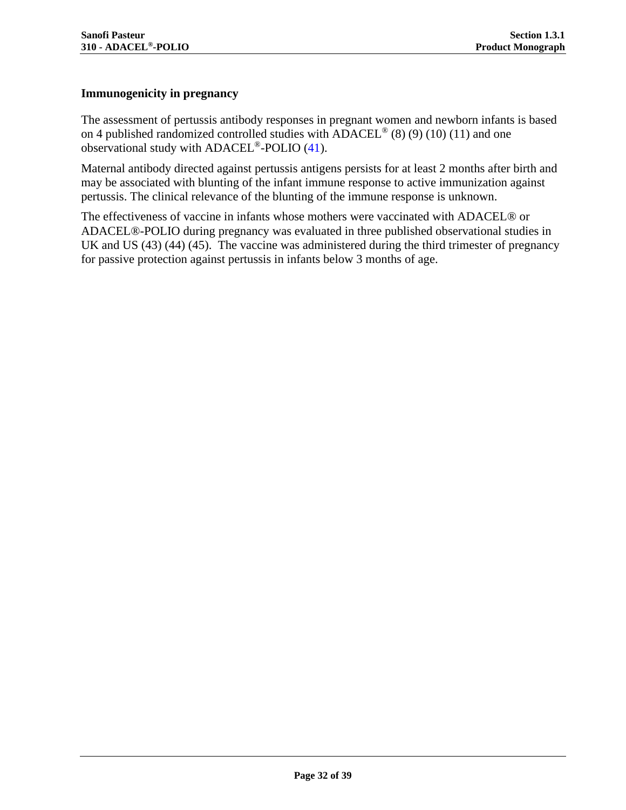# **Immunogenicity in pregnancy**

The assessment of pertussis antibody responses in pregnant women and newborn infants is based on 4 published randomized controlled studies with  $ADACEL^{\circledR}(8)$  $ADACEL^{\circledR}(8)$  [\(9\)](#page-32-9) [\(10\)](#page-32-10) [\(11\)](#page-32-11) and one observational study with ADACEL®-POLIO (41).

Maternal antibody directed against pertussis antigens persists for at least 2 months after birth and may be associated with blunting of the infant immune response to active immunization against pertussis. The clinical relevance of the blunting of the immune response is unknown.

The effectiveness of vaccine in infants whose mothers were vaccinated with ADACEL® or ADACEL®-POLIO during pregnancy was evaluated in three published observational studies in UK and US [\(43\)](#page-34-12) [\(44\)](#page-34-13) [\(45\).](#page-34-14) The vaccine was administered during the third trimester of pregnancy for passive protection against pertussis in infants below 3 months of age.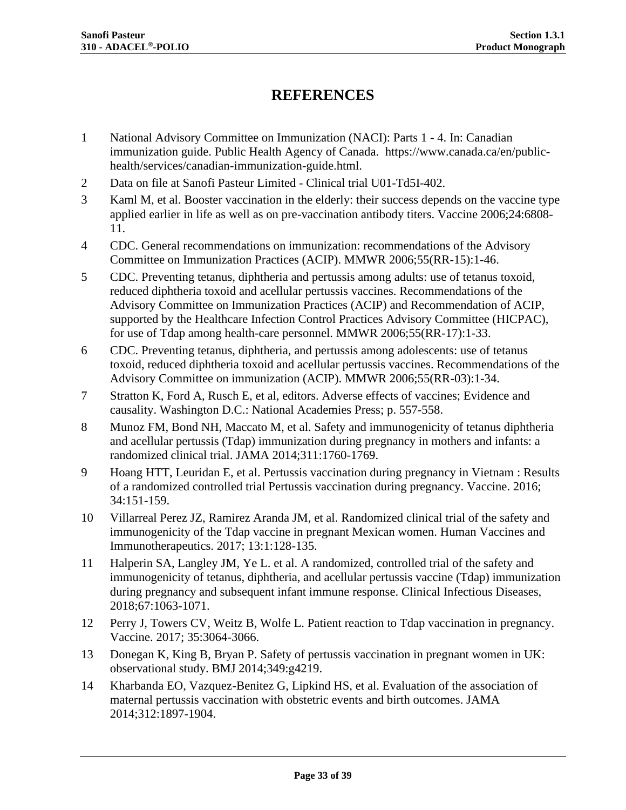# <span id="page-32-0"></span>**REFERENCES**

- <span id="page-32-1"></span>1 National Advisory Committee on Immunization (NACI): Parts 1 - 4. In: Canadian immunization guide. Public Health Agency of Canada. https://www.canada.ca/en/publichealth/services/canadian-immunization-guide.html.
- <span id="page-32-2"></span>2 Data on file at Sanofi Pasteur Limited - Clinical trial U01-Td5I-402.
- <span id="page-32-3"></span>3 Kaml M, et al. Booster vaccination in the elderly: their success depends on the vaccine type applied earlier in life as well as on pre-vaccination antibody titers. Vaccine 2006;24:6808- 11.
- <span id="page-32-4"></span>4 CDC. General recommendations on immunization: recommendations of the Advisory Committee on Immunization Practices (ACIP). MMWR 2006;55(RR-15):1-46.
- <span id="page-32-5"></span>5 CDC. Preventing tetanus, diphtheria and pertussis among adults: use of tetanus toxoid, reduced diphtheria toxoid and acellular pertussis vaccines. Recommendations of the Advisory Committee on Immunization Practices (ACIP) and Recommendation of ACIP, supported by the Healthcare Infection Control Practices Advisory Committee (HICPAC), for use of Tdap among health-care personnel. MMWR 2006;55(RR-17):1-33.
- <span id="page-32-6"></span>6 CDC. Preventing tetanus, diphtheria, and pertussis among adolescents: use of tetanus toxoid, reduced diphtheria toxoid and acellular pertussis vaccines. Recommendations of the Advisory Committee on immunization (ACIP). MMWR 2006;55(RR-03):1-34.
- <span id="page-32-7"></span>7 Stratton K, Ford A, Rusch E, et al, editors. Adverse effects of vaccines; Evidence and causality. Washington D.C.: National Academies Press; p. 557-558.
- <span id="page-32-8"></span>8 Munoz FM, Bond NH, Maccato M, et al. Safety and immunogenicity of tetanus diphtheria and acellular pertussis (Tdap) immunization during pregnancy in mothers and infants: a randomized clinical trial. JAMA 2014;311:1760-1769.
- <span id="page-32-9"></span>9 Hoang HTT, Leuridan E, et al. Pertussis vaccination during pregnancy in Vietnam : Results of a randomized controlled trial Pertussis vaccination during pregnancy. Vaccine. 2016; 34:151-159.
- <span id="page-32-10"></span>10 Villarreal Perez JZ, Ramirez Aranda JM, et al. Randomized clinical trial of the safety and immunogenicity of the Tdap vaccine in pregnant Mexican women. Human Vaccines and Immunotherapeutics. 2017; 13:1:128-135.
- <span id="page-32-11"></span>11 Halperin SA, Langley JM, Ye L. et al. A randomized, controlled trial of the safety and immunogenicity of tetanus, diphtheria, and acellular pertussis vaccine (Tdap) immunization during pregnancy and subsequent infant immune response. Clinical Infectious Diseases, 2018;67:1063-1071.
- 12 Perry J, Towers CV, Weitz B, Wolfe L. Patient reaction to Tdap vaccination in pregnancy. Vaccine. 2017; 35:3064-3066.
- <span id="page-32-12"></span>13 Donegan K, King B, Bryan P. Safety of pertussis vaccination in pregnant women in UK: observational study. BMJ 2014;349:g4219.
- <span id="page-32-13"></span>14 Kharbanda EO, Vazquez-Benitez G, Lipkind HS, et al. Evaluation of the association of maternal pertussis vaccination with obstetric events and birth outcomes. JAMA 2014;312:1897-1904.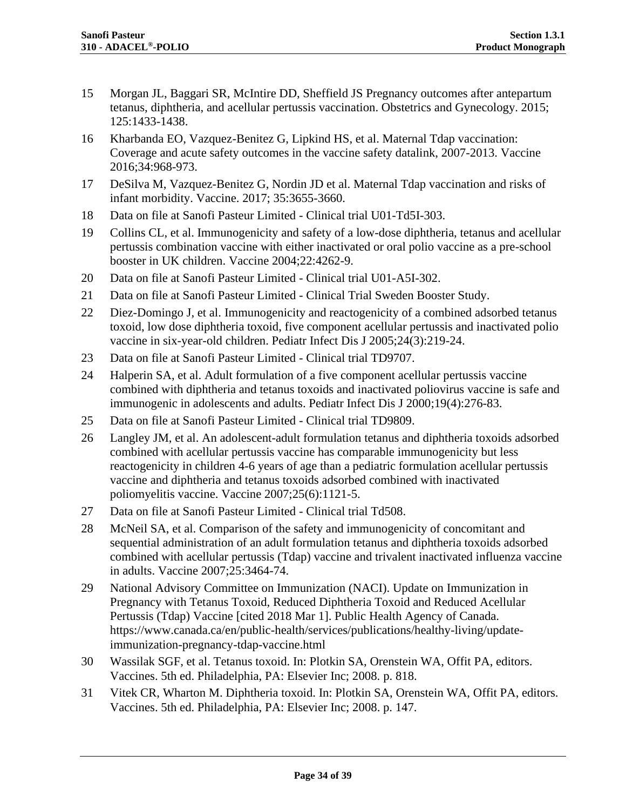- <span id="page-33-0"></span>15 Morgan JL, Baggari SR, McIntire DD, Sheffield JS Pregnancy outcomes after antepartum tetanus, diphtheria, and acellular pertussis vaccination. Obstetrics and Gynecology. 2015; 125:1433-1438.
- <span id="page-33-1"></span>16 Kharbanda EO, Vazquez-Benitez G, Lipkind HS, et al. Maternal Tdap vaccination: Coverage and acute safety outcomes in the vaccine safety datalink, 2007-2013. Vaccine 2016;34:968-973.
- <span id="page-33-2"></span>17 DeSilva M, Vazquez-Benitez G, Nordin JD et al. Maternal Tdap vaccination and risks of infant morbidity. Vaccine. 2017; 35:3655-3660.
- 18 Data on file at Sanofi Pasteur Limited Clinical trial U01-Td5I-303.
- <span id="page-33-3"></span>19 Collins CL, et al. Immunogenicity and safety of a low-dose diphtheria, tetanus and acellular pertussis combination vaccine with either inactivated or oral polio vaccine as a pre-school booster in UK children. Vaccine 2004;22:4262-9.
- <span id="page-33-4"></span>20 Data on file at Sanofi Pasteur Limited - Clinical trial U01-A5I-302.
- <span id="page-33-5"></span>21 Data on file at Sanofi Pasteur Limited - Clinical Trial Sweden Booster Study.
- <span id="page-33-6"></span>22 Diez-Domingo J, et al. Immunogenicity and reactogenicity of a combined adsorbed tetanus toxoid, low dose diphtheria toxoid, five component acellular pertussis and inactivated polio vaccine in six-year-old children. Pediatr Infect Dis J 2005;24(3):219-24.
- <span id="page-33-7"></span>23 Data on file at Sanofi Pasteur Limited - Clinical trial TD9707.
- <span id="page-33-8"></span>24 Halperin SA, et al. Adult formulation of a five component acellular pertussis vaccine combined with diphtheria and tetanus toxoids and inactivated poliovirus vaccine is safe and immunogenic in adolescents and adults. Pediatr Infect Dis J 2000;19(4):276-83.
- <span id="page-33-9"></span>25 Data on file at Sanofi Pasteur Limited - Clinical trial TD9809.
- <span id="page-33-10"></span>26 Langley JM, et al. An adolescent-adult formulation tetanus and diphtheria toxoids adsorbed combined with acellular pertussis vaccine has comparable immunogenicity but less reactogenicity in children 4-6 years of age than a pediatric formulation acellular pertussis vaccine and diphtheria and tetanus toxoids adsorbed combined with inactivated poliomyelitis vaccine. Vaccine 2007;25(6):1121-5.
- <span id="page-33-11"></span>27 Data on file at Sanofi Pasteur Limited - Clinical trial Td508.
- <span id="page-33-12"></span>28 McNeil SA, et al. Comparison of the safety and immunogenicity of concomitant and sequential administration of an adult formulation tetanus and diphtheria toxoids adsorbed combined with acellular pertussis (Tdap) vaccine and trivalent inactivated influenza vaccine in adults. Vaccine 2007;25:3464-74.
- <span id="page-33-13"></span>29 National Advisory Committee on Immunization (NACI). Update on Immunization in Pregnancy with Tetanus Toxoid, Reduced Diphtheria Toxoid and Reduced Acellular Pertussis (Tdap) Vaccine [cited 2018 Mar 1]. Public Health Agency of Canada. https://www.canada.ca/en/public-health/services/publications/healthy-living/updateimmunization-pregnancy-tdap-vaccine.html
- 30 Wassilak SGF, et al. Tetanus toxoid. In: Plotkin SA, Orenstein WA, Offit PA, editors. Vaccines. 5th ed. Philadelphia, PA: Elsevier Inc; 2008. p. 818.
- <span id="page-33-14"></span>31 Vitek CR, Wharton M. Diphtheria toxoid. In: Plotkin SA, Orenstein WA, Offit PA, editors. Vaccines. 5th ed. Philadelphia, PA: Elsevier Inc; 2008. p. 147.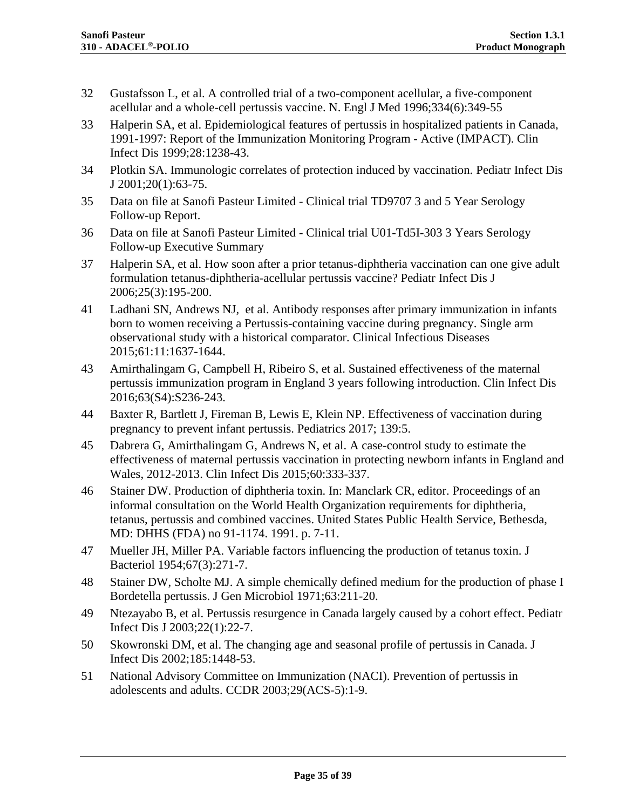- <span id="page-34-0"></span>32 Gustafsson L, et al. A controlled trial of a two-component acellular, a five-component acellular and a whole-cell pertussis vaccine. N. Engl J Med 1996;334(6):349-55
- <span id="page-34-1"></span>33 Halperin SA, et al. Epidemiological features of pertussis in hospitalized patients in Canada, 1991-1997: Report of the Immunization Monitoring Program - Active (IMPACT). Clin Infect Dis 1999;28:1238-43.
- <span id="page-34-2"></span>34 Plotkin SA. Immunologic correlates of protection induced by vaccination. Pediatr Infect Dis J 2001;20(1):63-75.
- <span id="page-34-7"></span>35 Data on file at Sanofi Pasteur Limited - Clinical trial TD9707 3 and 5 Year Serology Follow-up Report.
- <span id="page-34-6"></span>36 Data on file at Sanofi Pasteur Limited - Clinical trial U01-Td5I-303 3 Years Serology Follow-up Executive Summary
- <span id="page-34-11"></span>37 Halperin SA, et al. How soon after a prior tetanus-diphtheria vaccination can one give adult formulation tetanus-diphtheria-acellular pertussis vaccine? Pediatr Infect Dis J 2006;25(3):195-200.
- <span id="page-34-3"></span>41 Ladhani SN, Andrews NJ, et al. Antibody responses after primary immunization in infants born to women receiving a Pertussis-containing vaccine during pregnancy. Single arm observational study with a historical comparator. Clinical Infectious Diseases 2015;61:11:1637-1644.
- <span id="page-34-12"></span>43 Amirthalingam G, Campbell H, Ribeiro S, et al. Sustained effectiveness of the maternal pertussis immunization program in England 3 years following introduction. Clin Infect Dis 2016;63(S4):S236-243.
- <span id="page-34-13"></span>44 Baxter R, Bartlett J, Fireman B, Lewis E, Klein NP. Effectiveness of vaccination during pregnancy to prevent infant pertussis. Pediatrics 2017; 139:5.
- <span id="page-34-14"></span>45 Dabrera G, Amirthalingam G, Andrews N, et al. A case-control study to estimate the effectiveness of maternal pertussis vaccination in protecting newborn infants in England and Wales, 2012-2013. Clin Infect Dis 2015;60:333-337.
- 46 Stainer DW. Production of diphtheria toxin. In: Manclark CR, editor. Proceedings of an informal consultation on the World Health Organization requirements for diphtheria, tetanus, pertussis and combined vaccines. United States Public Health Service, Bethesda, MD: DHHS (FDA) no 91-1174. 1991. p. 7-11.
- <span id="page-34-4"></span>47 Mueller JH, Miller PA. Variable factors influencing the production of tetanus toxin. J Bacteriol 1954;67(3):271-7.
- <span id="page-34-5"></span>48 Stainer DW, Scholte MJ. A simple chemically defined medium for the production of phase I Bordetella pertussis. J Gen Microbiol 1971;63:211-20.
- <span id="page-34-8"></span>49 Ntezayabo B, et al. Pertussis resurgence in Canada largely caused by a cohort effect. Pediatr Infect Dis J 2003;22(1):22-7.
- <span id="page-34-9"></span>50 Skowronski DM, et al. The changing age and seasonal profile of pertussis in Canada. J Infect Dis 2002;185:1448-53.
- <span id="page-34-10"></span>51 National Advisory Committee on Immunization (NACI). Prevention of pertussis in adolescents and adults. CCDR 2003;29(ACS-5):1-9.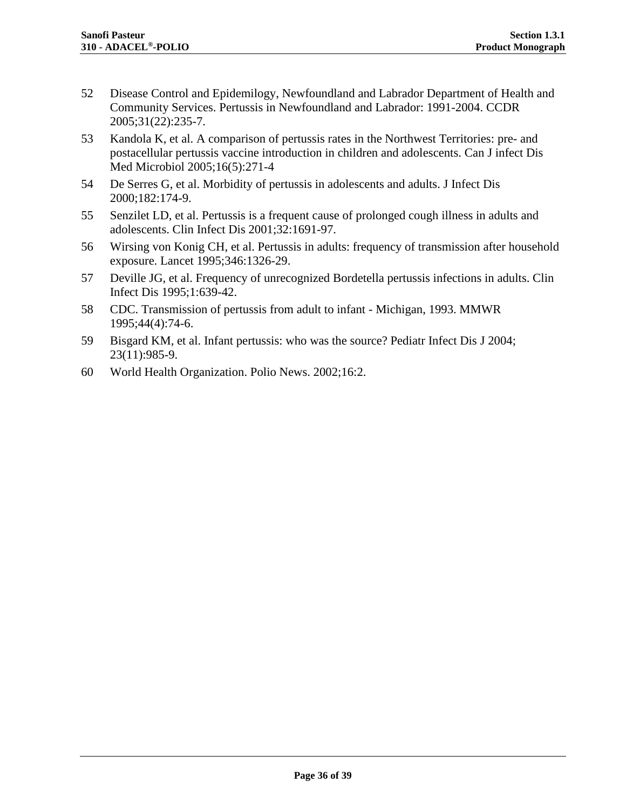- <span id="page-35-0"></span>52 Disease Control and Epidemilogy, Newfoundland and Labrador Department of Health and Community Services. Pertussis in Newfoundland and Labrador: 1991-2004. CCDR 2005;31(22):235-7.
- <span id="page-35-1"></span>53 Kandola K, et al. A comparison of pertussis rates in the Northwest Territories: pre- and postacellular pertussis vaccine introduction in children and adolescents. Can J infect Dis Med Microbiol 2005;16(5):271-4
- <span id="page-35-2"></span>54 De Serres G, et al. Morbidity of pertussis in adolescents and adults. J Infect Dis 2000;182:174-9.
- <span id="page-35-3"></span>55 Senzilet LD, et al. Pertussis is a frequent cause of prolonged cough illness in adults and adolescents. Clin Infect Dis 2001;32:1691-97.
- <span id="page-35-4"></span>56 Wirsing von Konig CH, et al. Pertussis in adults: frequency of transmission after household exposure. Lancet 1995;346:1326-29.
- <span id="page-35-5"></span>57 Deville JG, et al. Frequency of unrecognized Bordetella pertussis infections in adults. Clin Infect Dis 1995;1:639-42.
- <span id="page-35-6"></span>58 CDC. Transmission of pertussis from adult to infant - Michigan, 1993. MMWR 1995;44(4):74-6.
- <span id="page-35-7"></span>59 Bisgard KM, et al. Infant pertussis: who was the source? Pediatr Infect Dis J 2004; 23(11):985-9.
- <span id="page-35-8"></span>60 World Health Organization. Polio News. 2002;16:2.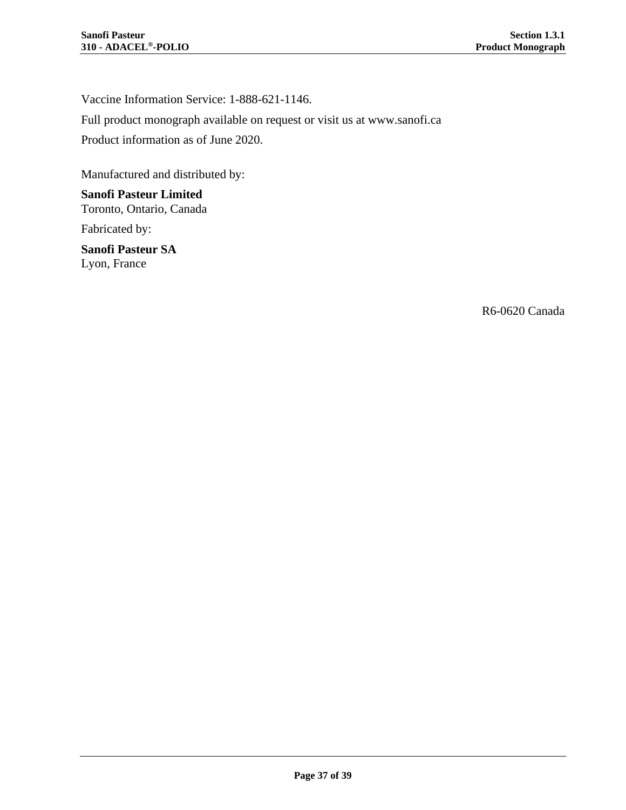Vaccine Information Service: 1-888-621-1146.

Full product monograph available on request or visit us at www.sanofi.ca

Product information as of June 2020.

Manufactured and distributed by:

**Sanofi Pasteur Limited** Toronto, Ontario, Canada

Fabricated by:

**Sanofi Pasteur SA** Lyon, France

R6-0620 Canada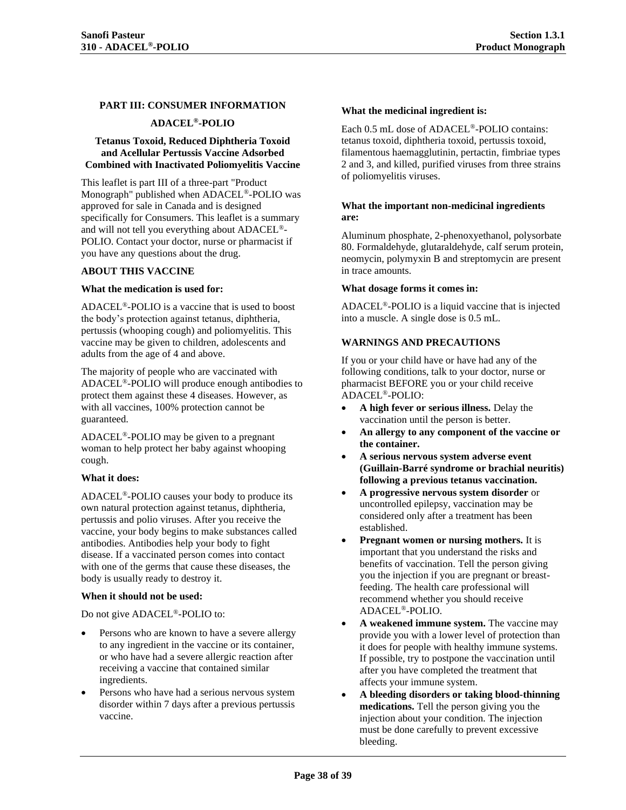#### <span id="page-37-0"></span>**PART III: CONSUMER INFORMATION**

#### **ADACEL®-POLIO**

#### **Tetanus Toxoid, Reduced Diphtheria Toxoid and Acellular Pertussis Vaccine Adsorbed Combined with Inactivated Poliomyelitis Vaccine**

This leaflet is part III of a three-part "Product Monograph" published when ADACEL®-POLIO was approved for sale in Canada and is designed specifically for Consumers. This leaflet is a summary and will not tell you everything about ADACEL®- POLIO. Contact your doctor, nurse or pharmacist if you have any questions about the drug.

#### **ABOUT THIS VACCINE**

#### **What the medication is used for:**

ADACEL®-POLIO is a vaccine that is used to boost the body's protection against tetanus, diphtheria, pertussis (whooping cough) and poliomyelitis. This vaccine may be given to children, adolescents and adults from the age of 4 and above.

The majority of people who are vaccinated with ADACEL®-POLIO will produce enough antibodies to protect them against these 4 diseases. However, as with all vaccines, 100% protection cannot be guaranteed.

ADACEL®-POLIO may be given to a pregnant woman to help protect her baby against whooping cough.

#### **What it does:**

ADACEL®-POLIO causes your body to produce its own natural protection against tetanus, diphtheria, pertussis and polio viruses. After you receive the vaccine, your body begins to make substances called antibodies. Antibodies help your body to fight disease. If a vaccinated person comes into contact with one of the germs that cause these diseases, the body is usually ready to destroy it.

#### **When it should not be used:**

Do not give ADACEL®-POLIO to:

- Persons who are known to have a severe allergy to any ingredient in the vaccine or its container, or who have had a severe allergic reaction after receiving a vaccine that contained similar ingredients.
- Persons who have had a serious nervous system disorder within 7 days after a previous pertussis vaccine.

#### **What the medicinal ingredient is:**

Each 0.5 mL dose of ADACEL®-POLIO contains: tetanus toxoid, diphtheria toxoid, pertussis toxoid, filamentous haemagglutinin, pertactin, fimbriae types 2 and 3, and killed, purified viruses from three strains of poliomyelitis viruses.

#### **What the important non-medicinal ingredients are:**

Aluminum phosphate, 2-phenoxyethanol, polysorbate 80. Formaldehyde, glutaraldehyde, calf serum protein, neomycin, polymyxin B and streptomycin are present in trace amounts.

#### **What dosage forms it comes in:**

ADACEL®-POLIO is a liquid vaccine that is injected into a muscle. A single dose is 0.5 mL.

#### **WARNINGS AND PRECAUTIONS**

If you or your child have or have had any of the following conditions, talk to your doctor, nurse or pharmacist BEFORE you or your child receive ADACEL®-POLIO:

- **A high fever or serious illness.** Delay the vaccination until the person is better.
- **An allergy to any component of the vaccine or the container.**
- **A serious nervous system adverse event (Guillain-Barré syndrome or brachial neuritis) following a previous tetanus vaccination.**
- **A progressive nervous system disorder** or uncontrolled epilepsy, vaccination may be considered only after a treatment has been established.
- **Pregnant women or nursing mothers.** It is important that you understand the risks and benefits of vaccination. Tell the person giving you the injection if you are pregnant or breastfeeding. The health care professional will recommend whether you should receive ADACEL®-POLIO.
- **A weakened immune system.** The vaccine may provide you with a lower level of protection than it does for people with healthy immune systems. If possible, try to postpone the vaccination until after you have completed the treatment that affects your immune system.
- **A bleeding disorders or taking blood-thinning medications.** Tell the person giving you the injection about your condition. The injection must be done carefully to prevent excessive bleeding.